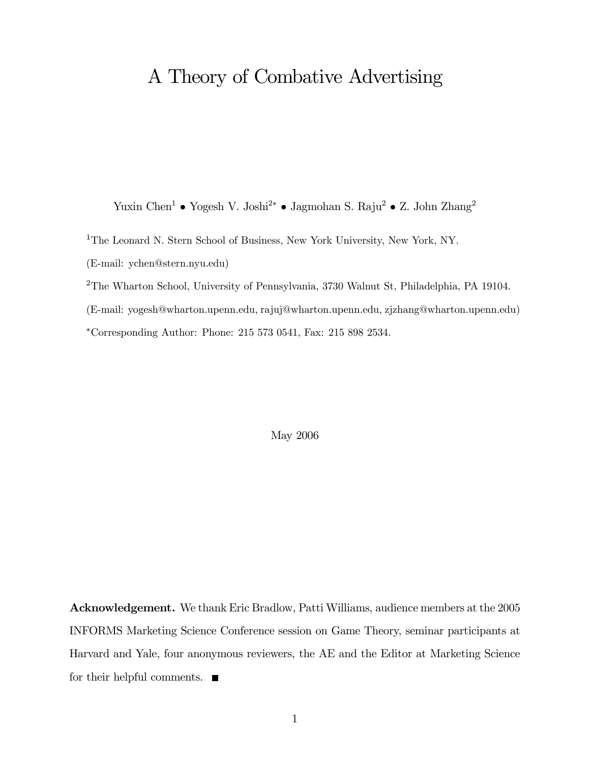## A Theory of Combative Advertising

Yuxin Chen<sup>1</sup> • Yogesh V. Joshi<sup>2</sup><sup>∗</sup> • Jagmohan S. Raju<sup>2</sup> • Z. John Zhang<sup>2</sup>

<sup>1</sup>The Leonard N. Stern School of Business, New York University, New York, NY.

(E-mail: ychen@stern.nyu.edu)

<sup>2</sup>The Wharton School, University of Pennsylvania, 3730 Walnut St, Philadelphia, PA 19104.

(E-mail: yogesh@wharton.upenn.edu, rajuj@wharton.upenn.edu, zjzhang@wharton.upenn.edu)

∗Corresponding Author: Phone: 215 573 0541, Fax: 215 898 2534.

May 2006

Acknowledgement. We thank Eric Bradlow, Patti Williams, audience members at the 2005 INFORMS Marketing Science Conference session on Game Theory, seminar participants at Harvard and Yale, four anonymous reviewers, the AE and the Editor at Marketing Science for their helpful comments.  $\blacksquare$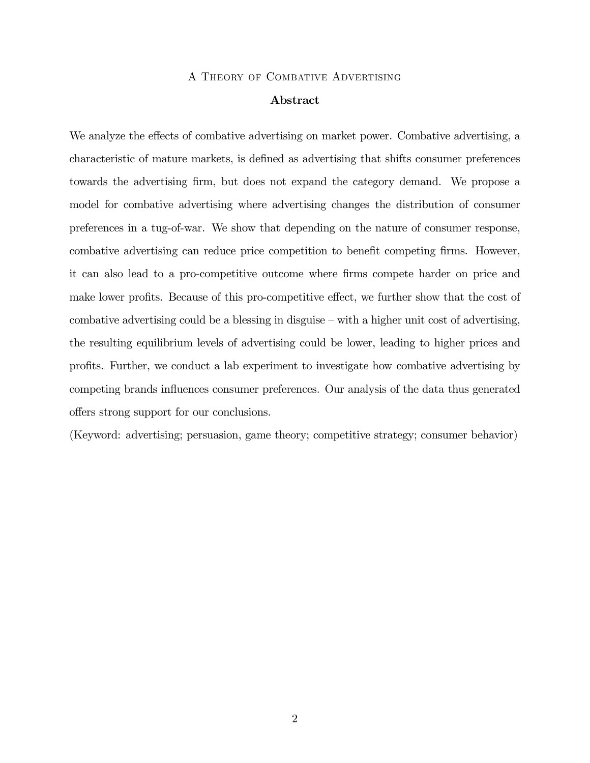#### A Theory of Combative Advertising

#### Abstract

We analyze the effects of combative advertising on market power. Combative advertising, a characteristic of mature markets, is defined as advertising that shifts consumer preferences towards the advertising firm, but does not expand the category demand. We propose a model for combative advertising where advertising changes the distribution of consumer preferences in a tug-of-war. We show that depending on the nature of consumer response, combative advertising can reduce price competition to benefit competing firms. However, it can also lead to a pro-competitive outcome where firms compete harder on price and make lower profits. Because of this pro-competitive effect, we further show that the cost of combative advertising could be a blessing in disguise — with a higher unit cost of advertising, the resulting equilibrium levels of advertising could be lower, leading to higher prices and profits. Further, we conduct a lab experiment to investigate how combative advertising by competing brands influences consumer preferences. Our analysis of the data thus generated offers strong support for our conclusions.

(Keyword: advertising; persuasion, game theory; competitive strategy; consumer behavior)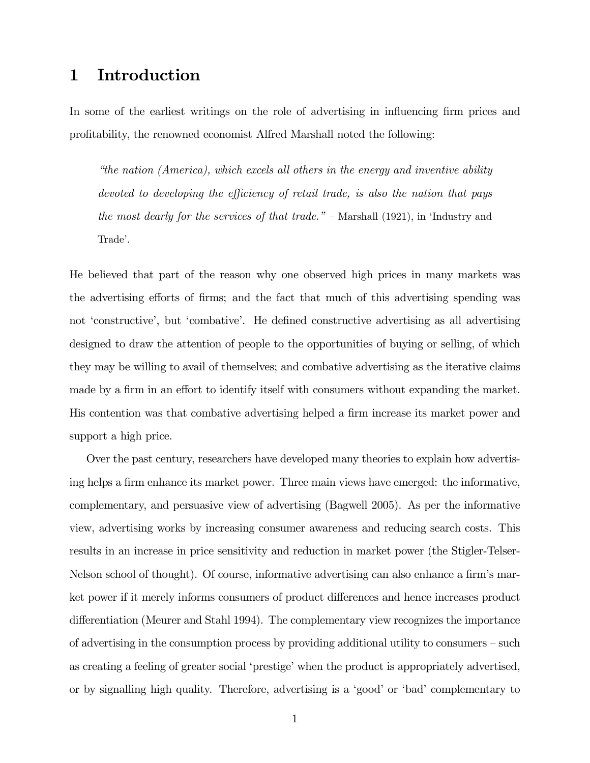### 1 Introduction

In some of the earliest writings on the role of advertising in influencing firm prices and profitability, the renowned economist Alfred Marshall noted the following:

"the nation (America), which excels all others in the energy and inventive ability devoted to developing the efficiency of retail trade, is also the nation that pays the most dearly for the services of that trade." — Marshall (1921), in 'Industry and Trade'.

He believed that part of the reason why one observed high prices in many markets was the advertising efforts of firms; and the fact that much of this advertising spending was not 'constructive', but 'combative'. He defined constructive advertising as all advertising designed to draw the attention of people to the opportunities of buying or selling, of which they may be willing to avail of themselves; and combative advertising as the iterative claims made by a firm in an effort to identify itself with consumers without expanding the market. His contention was that combative advertising helped a firm increase its market power and support a high price.

Over the past century, researchers have developed many theories to explain how advertising helps a firm enhance its market power. Three main views have emerged: the informative, complementary, and persuasive view of advertising (Bagwell 2005). As per the informative view, advertising works by increasing consumer awareness and reducing search costs. This results in an increase in price sensitivity and reduction in market power (the Stigler-Telser-Nelson school of thought). Of course, informative advertising can also enhance a firm's market power if it merely informs consumers of product differences and hence increases product differentiation (Meurer and Stahl 1994). The complementary view recognizes the importance of advertising in the consumption process by providing additional utility to consumers — such as creating a feeling of greater social 'prestige' when the product is appropriately advertised, or by signalling high quality. Therefore, advertising is a 'good' or 'bad' complementary to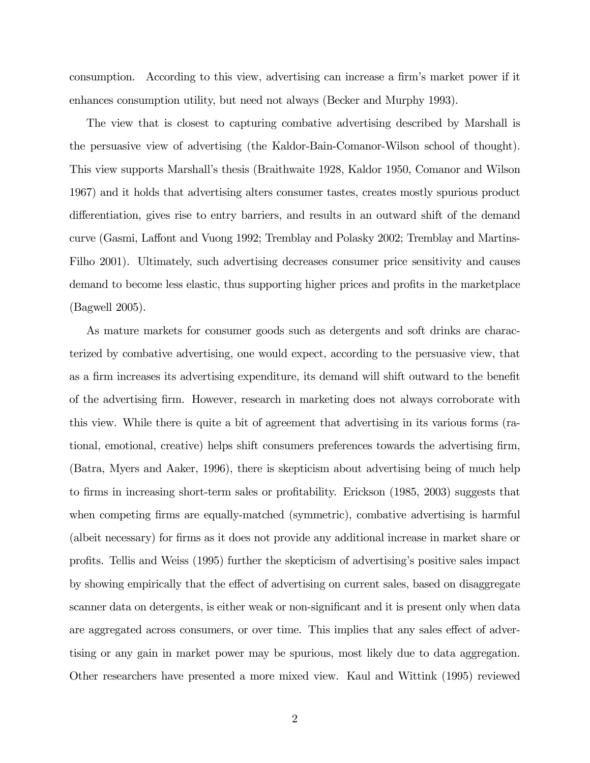consumption. According to this view, advertising can increase a firm's market power if it enhances consumption utility, but need not always (Becker and Murphy 1993).

The view that is closest to capturing combative advertising described by Marshall is the persuasive view of advertising (the Kaldor-Bain-Comanor-Wilson school of thought). This view supports Marshall's thesis (Braithwaite 1928, Kaldor 1950, Comanor and Wilson 1967) and it holds that advertising alters consumer tastes, creates mostly spurious product differentiation, gives rise to entry barriers, and results in an outward shift of the demand curve (Gasmi, Laffont and Vuong 1992; Tremblay and Polasky 2002; Tremblay and Martins-Filho 2001). Ultimately, such advertising decreases consumer price sensitivity and causes demand to become less elastic, thus supporting higher prices and profits in the marketplace (Bagwell 2005).

As mature markets for consumer goods such as detergents and soft drinks are characterized by combative advertising, one would expect, according to the persuasive view, that as a firm increases its advertising expenditure, its demand will shift outward to the benefit of the advertising firm. However, research in marketing does not always corroborate with this view. While there is quite a bit of agreement that advertising in its various forms (rational, emotional, creative) helps shift consumers preferences towards the advertising firm, (Batra, Myers and Aaker, 1996), there is skepticism about advertising being of much help to firms in increasing short-term sales or profitability. Erickson (1985, 2003) suggests that when competing firms are equally-matched (symmetric), combative advertising is harmful (albeit necessary) for firms as it does not provide any additional increase in market share or profits. Tellis and Weiss (1995) further the skepticism of advertising's positive sales impact by showing empirically that the effect of advertising on current sales, based on disaggregate scanner data on detergents, is either weak or non-significant and it is present only when data are aggregated across consumers, or over time. This implies that any sales effect of advertising or any gain in market power may be spurious, most likely due to data aggregation. Other researchers have presented a more mixed view. Kaul and Wittink (1995) reviewed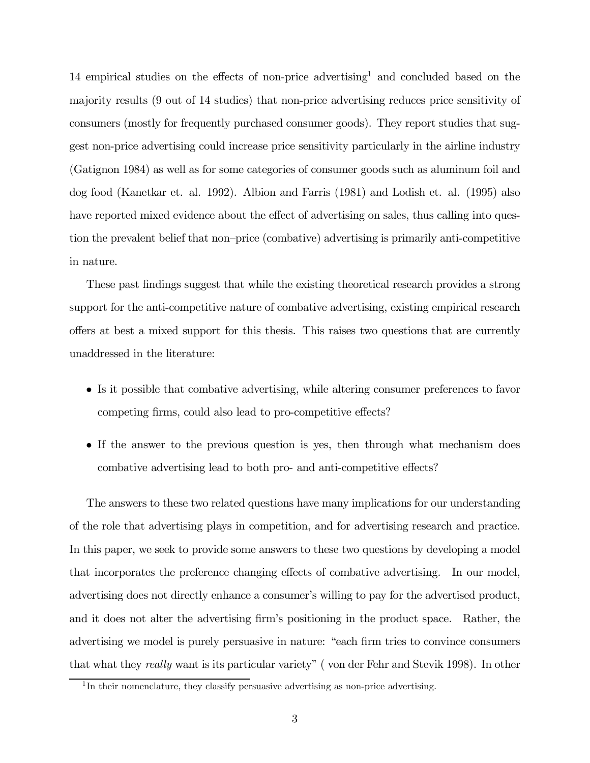14 empirical studies on the effects of non-price advertising<sup>1</sup> and concluded based on the majority results (9 out of 14 studies) that non-price advertising reduces price sensitivity of consumers (mostly for frequently purchased consumer goods). They report studies that suggest non-price advertising could increase price sensitivity particularly in the airline industry (Gatignon 1984) as well as for some categories of consumer goods such as aluminum foil and dog food (Kanetkar et. al. 1992). Albion and Farris (1981) and Lodish et. al. (1995) also have reported mixed evidence about the effect of advertising on sales, thus calling into question the prevalent belief that non—price (combative) advertising is primarily anti-competitive in nature.

These past findings suggest that while the existing theoretical research provides a strong support for the anti-competitive nature of combative advertising, existing empirical research offers at best a mixed support for this thesis. This raises two questions that are currently unaddressed in the literature:

- Is it possible that combative advertising, while altering consumer preferences to favor competing firms, could also lead to pro-competitive effects?
- If the answer to the previous question is yes, then through what mechanism does combative advertising lead to both pro- and anti-competitive effects?

The answers to these two related questions have many implications for our understanding of the role that advertising plays in competition, and for advertising research and practice. In this paper, we seek to provide some answers to these two questions by developing a model that incorporates the preference changing effects of combative advertising. In our model, advertising does not directly enhance a consumer's willing to pay for the advertised product, and it does not alter the advertising firm's positioning in the product space. Rather, the advertising we model is purely persuasive in nature: "each firm tries to convince consumers that what they really want is its particular variety" ( von der Fehr and Stevik 1998). In other

 $1$ In their nomenclature, they classify persuasive advertising as non-price advertising.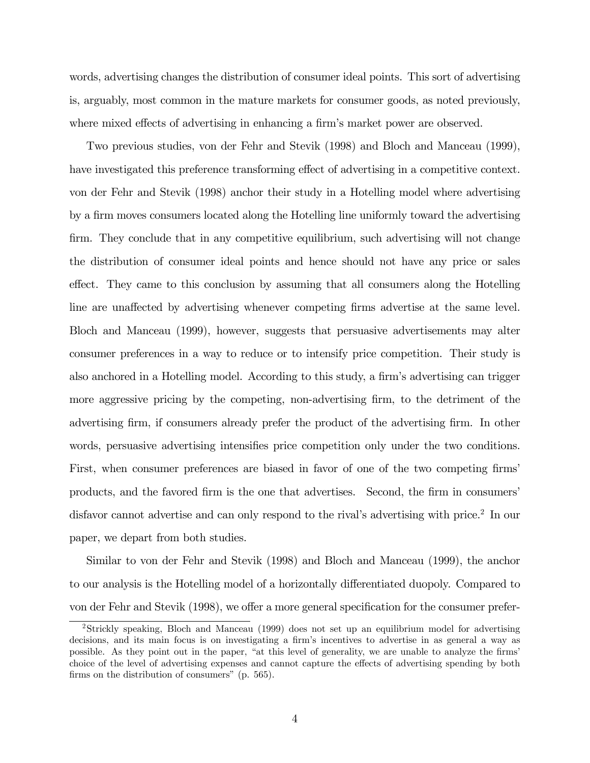words, advertising changes the distribution of consumer ideal points. This sort of advertising is, arguably, most common in the mature markets for consumer goods, as noted previously, where mixed effects of advertising in enhancing a firm's market power are observed.

Two previous studies, von der Fehr and Stevik (1998) and Bloch and Manceau (1999), have investigated this preference transforming effect of advertising in a competitive context. von der Fehr and Stevik (1998) anchor their study in a Hotelling model where advertising by a firm moves consumers located along the Hotelling line uniformly toward the advertising firm. They conclude that in any competitive equilibrium, such advertising will not change the distribution of consumer ideal points and hence should not have any price or sales effect. They came to this conclusion by assuming that all consumers along the Hotelling line are unaffected by advertising whenever competing firms advertise at the same level. Bloch and Manceau (1999), however, suggests that persuasive advertisements may alter consumer preferences in a way to reduce or to intensify price competition. Their study is also anchored in a Hotelling model. According to this study, a firm's advertising can trigger more aggressive pricing by the competing, non-advertising firm, to the detriment of the advertising firm, if consumers already prefer the product of the advertising firm. In other words, persuasive advertising intensifies price competition only under the two conditions. First, when consumer preferences are biased in favor of one of the two competing firms' products, and the favored firm is the one that advertises. Second, the firm in consumers' disfavor cannot advertise and can only respond to the rival's advertising with price.<sup>2</sup> In our paper, we depart from both studies.

Similar to von der Fehr and Stevik (1998) and Bloch and Manceau (1999), the anchor to our analysis is the Hotelling model of a horizontally differentiated duopoly. Compared to von der Fehr and Stevik (1998), we offer a more general specification for the consumer prefer-

<sup>2</sup>Strickly speaking, Bloch and Manceau (1999) does not set up an equilibrium model for advertising decisions, and its main focus is on investigating a firm's incentives to advertise in as general a way as possible. As they point out in the paper, "at this level of generality, we are unable to analyze the firms' choice of the level of advertising expenses and cannot capture the effects of advertising spending by both firms on the distribution of consumers" (p. 565).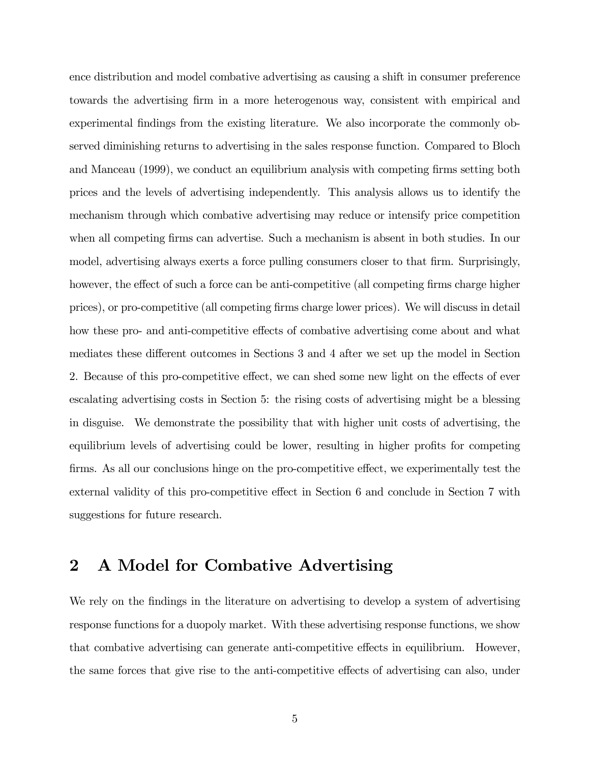ence distribution and model combative advertising as causing a shift in consumer preference towards the advertising firm in a more heterogenous way, consistent with empirical and experimental findings from the existing literature. We also incorporate the commonly observed diminishing returns to advertising in the sales response function. Compared to Bloch and Manceau (1999), we conduct an equilibrium analysis with competing firms setting both prices and the levels of advertising independently. This analysis allows us to identify the mechanism through which combative advertising may reduce or intensify price competition when all competing firms can advertise. Such a mechanism is absent in both studies. In our model, advertising always exerts a force pulling consumers closer to that firm. Surprisingly, however, the effect of such a force can be anti-competitive (all competing firms charge higher prices), or pro-competitive (all competing firms charge lower prices). We will discuss in detail how these pro- and anti-competitive effects of combative advertising come about and what mediates these different outcomes in Sections 3 and 4 after we set up the model in Section 2. Because of this pro-competitive effect, we can shed some new light on the effects of ever escalating advertising costs in Section 5: the rising costs of advertising might be a blessing in disguise. We demonstrate the possibility that with higher unit costs of advertising, the equilibrium levels of advertising could be lower, resulting in higher profits for competing firms. As all our conclusions hinge on the pro-competitive effect, we experimentally test the external validity of this pro-competitive effect in Section 6 and conclude in Section 7 with suggestions for future research.

### 2 A Model for Combative Advertising

We rely on the findings in the literature on advertising to develop a system of advertising response functions for a duopoly market. With these advertising response functions, we show that combative advertising can generate anti-competitive effects in equilibrium. However, the same forces that give rise to the anti-competitive effects of advertising can also, under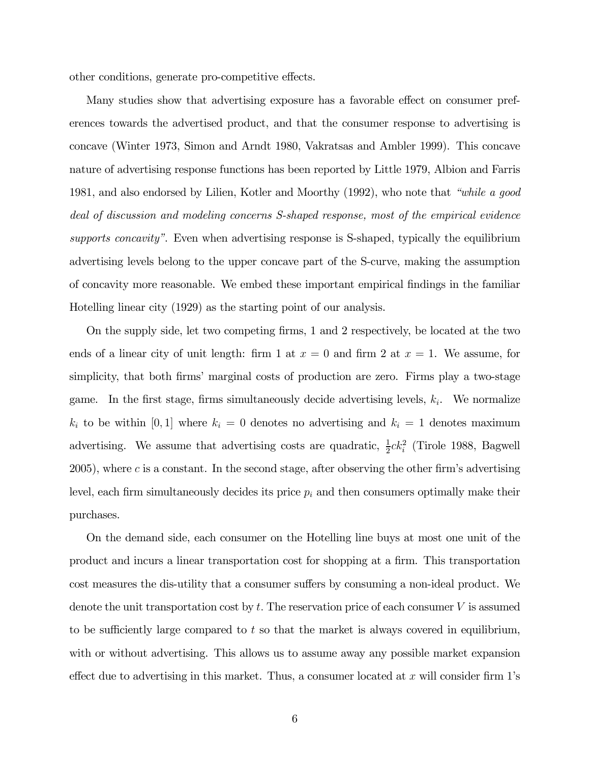other conditions, generate pro-competitive effects.

Many studies show that advertising exposure has a favorable effect on consumer preferences towards the advertised product, and that the consumer response to advertising is concave (Winter 1973, Simon and Arndt 1980, Vakratsas and Ambler 1999). This concave nature of advertising response functions has been reported by Little 1979, Albion and Farris 1981, and also endorsed by Lilien, Kotler and Moorthy (1992), who note that "while a good deal of discussion and modeling concerns S-shaped response, most of the empirical evidence supports concavity". Even when advertising response is S-shaped, typically the equilibrium advertising levels belong to the upper concave part of the S-curve, making the assumption of concavity more reasonable. We embed these important empirical findings in the familiar Hotelling linear city (1929) as the starting point of our analysis.

On the supply side, let two competing firms, 1 and 2 respectively, be located at the two ends of a linear city of unit length: firm 1 at  $x = 0$  and firm 2 at  $x = 1$ . We assume, for simplicity, that both firms' marginal costs of production are zero. Firms play a two-stage game. In the first stage, firms simultaneously decide advertising levels,  $k_i$ . We normalize  $k_i$  to be within [0, 1] where  $k_i = 0$  denotes no advertising and  $k_i = 1$  denotes maximum advertising. We assume that advertising costs are quadratic,  $\frac{1}{2}ck_i^2$  (Tirole 1988, Bagwell 2005), where c is a constant. In the second stage, after observing the other firm's advertising level, each firm simultaneously decides its price  $p_i$  and then consumers optimally make their purchases.

On the demand side, each consumer on the Hotelling line buys at most one unit of the product and incurs a linear transportation cost for shopping at a firm. This transportation cost measures the dis-utility that a consumer suffers by consuming a non-ideal product. We denote the unit transportation cost by  $t$ . The reservation price of each consumer  $V$  is assumed to be sufficiently large compared to  $t$  so that the market is always covered in equilibrium, with or without advertising. This allows us to assume away any possible market expansion effect due to advertising in this market. Thus, a consumer located at x will consider firm  $1$ 's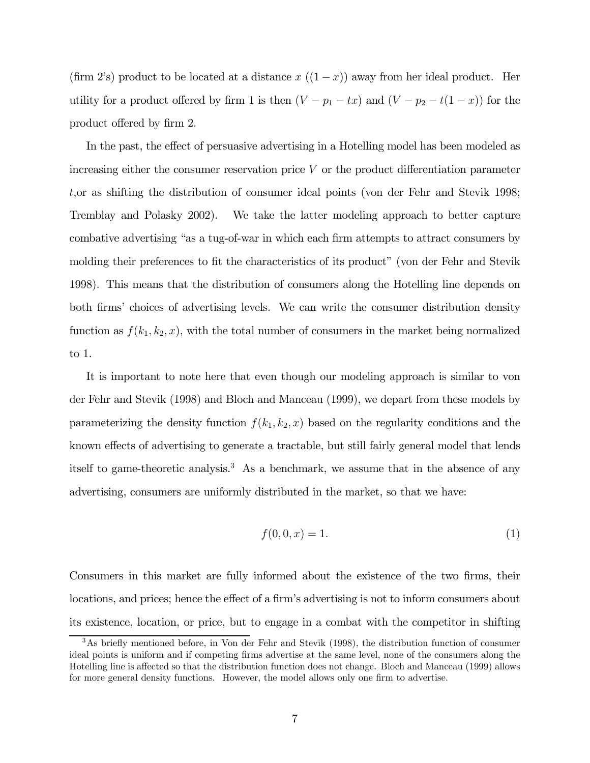(firm 2's) product to be located at a distance  $x((1-x))$  away from her ideal product. Her utility for a product offered by firm 1 is then  $(V - p_1 - tx)$  and  $(V - p_2 - t(1 - x))$  for the product offered by firm 2.

In the past, the effect of persuasive advertising in a Hotelling model has been modeled as increasing either the consumer reservation price  $V$  or the product differentiation parameter t,or as shifting the distribution of consumer ideal points (von der Fehr and Stevik 1998; Tremblay and Polasky 2002). We take the latter modeling approach to better capture combative advertising "as a tug-of-war in which each firm attempts to attract consumers by molding their preferences to fit the characteristics of its product" (von der Fehr and Stevik 1998). This means that the distribution of consumers along the Hotelling line depends on both firms' choices of advertising levels. We can write the consumer distribution density function as  $f(k_1, k_2, x)$ , with the total number of consumers in the market being normalized to 1.

It is important to note here that even though our modeling approach is similar to von der Fehr and Stevik (1998) and Bloch and Manceau (1999), we depart from these models by parameterizing the density function  $f(k_1, k_2, x)$  based on the regularity conditions and the known effects of advertising to generate a tractable, but still fairly general model that lends itself to game-theoretic analysis.<sup>3</sup> As a benchmark, we assume that in the absence of any advertising, consumers are uniformly distributed in the market, so that we have:

$$
f(0,0,x) = 1.
$$
 (1)

Consumers in this market are fully informed about the existence of the two firms, their locations, and prices; hence the effect of a firm's advertising is not to inform consumers about its existence, location, or price, but to engage in a combat with the competitor in shifting

<sup>3</sup>As briefly mentioned before, in Von der Fehr and Stevik (1998), the distribution function of consumer ideal points is uniform and if competing firms advertise at the same level, none of the consumers along the Hotelling line is affected so that the distribution function does not change. Bloch and Manceau (1999) allows for more general density functions. However, the model allows only one firm to advertise.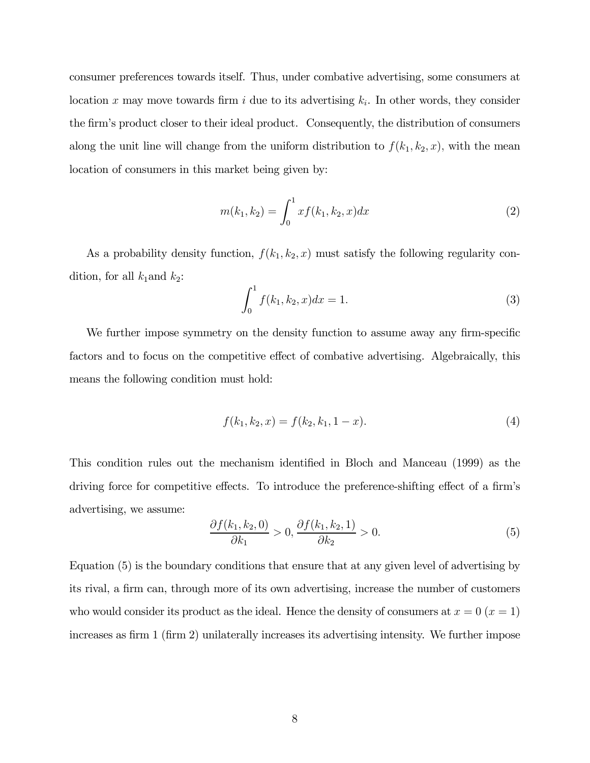consumer preferences towards itself. Thus, under combative advertising, some consumers at location x may move towards firm i due to its advertising  $k_i$ . In other words, they consider the firm's product closer to their ideal product. Consequently, the distribution of consumers along the unit line will change from the uniform distribution to  $f(k_1, k_2, x)$ , with the mean location of consumers in this market being given by:

$$
m(k_1, k_2) = \int_0^1 x f(k_1, k_2, x) dx
$$
 (2)

As a probability density function,  $f(k_1, k_2, x)$  must satisfy the following regularity condition, for all  $k_1$  and  $k_2$ :

$$
\int_0^1 f(k_1, k_2, x) dx = 1.
$$
 (3)

We further impose symmetry on the density function to assume away any firm-specific factors and to focus on the competitive effect of combative advertising. Algebraically, this means the following condition must hold:

$$
f(k_1, k_2, x) = f(k_2, k_1, 1 - x).
$$
\n(4)

This condition rules out the mechanism identified in Bloch and Manceau (1999) as the driving force for competitive effects. To introduce the preference-shifting effect of a firm's advertising, we assume:

$$
\frac{\partial f(k_1, k_2, 0)}{\partial k_1} > 0, \frac{\partial f(k_1, k_2, 1)}{\partial k_2} > 0.
$$
 (5)

Equation (5) is the boundary conditions that ensure that at any given level of advertising by its rival, a firm can, through more of its own advertising, increase the number of customers who would consider its product as the ideal. Hence the density of consumers at  $x = 0$  ( $x = 1$ ) increases as firm 1 (firm 2) unilaterally increases its advertising intensity. We further impose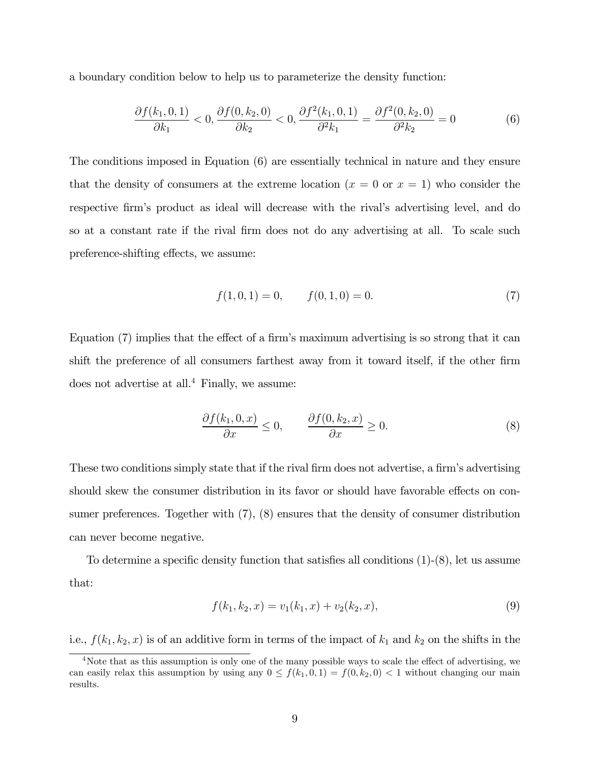a boundary condition below to help us to parameterize the density function:

$$
\frac{\partial f(k_1, 0, 1)}{\partial k_1} < 0, \frac{\partial f(0, k_2, 0)}{\partial k_2} < 0, \frac{\partial f^2(k_1, 0, 1)}{\partial^2 k_1} = \frac{\partial f^2(0, k_2, 0)}{\partial^2 k_2} = 0 \tag{6}
$$

The conditions imposed in Equation (6) are essentially technical in nature and they ensure that the density of consumers at the extreme location  $(x = 0 \text{ or } x = 1)$  who consider the respective firm's product as ideal will decrease with the rival's advertising level, and do so at a constant rate if the rival firm does not do any advertising at all. To scale such preference-shifting effects, we assume:

$$
f(1,0,1) = 0, \t f(0,1,0) = 0.
$$
\t(7)

Equation (7) implies that the effect of a firm's maximum advertising is so strong that it can shift the preference of all consumers farthest away from it toward itself, if the other firm does not advertise at all.<sup>4</sup> Finally, we assume:

$$
\frac{\partial f(k_1, 0, x)}{\partial x} \le 0, \qquad \frac{\partial f(0, k_2, x)}{\partial x} \ge 0.
$$
\n(8)

These two conditions simply state that if the rival firm does not advertise, a firm's advertising should skew the consumer distribution in its favor or should have favorable effects on consumer preferences. Together with (7), (8) ensures that the density of consumer distribution can never become negative.

To determine a specific density function that satisfies all conditions (1)-(8), let us assume that:

$$
f(k_1, k_2, x) = v_1(k_1, x) + v_2(k_2, x),
$$
\n(9)

i.e.,  $f(k_1, k_2, x)$  is of an additive form in terms of the impact of  $k_1$  and  $k_2$  on the shifts in the

<sup>&</sup>lt;sup>4</sup>Note that as this assumption is only one of the many possible ways to scale the effect of advertising, we can easily relax this assumption by using any  $0 \le f(k_1, 0, 1) = f(0, k_2, 0) < 1$  without changing our main results.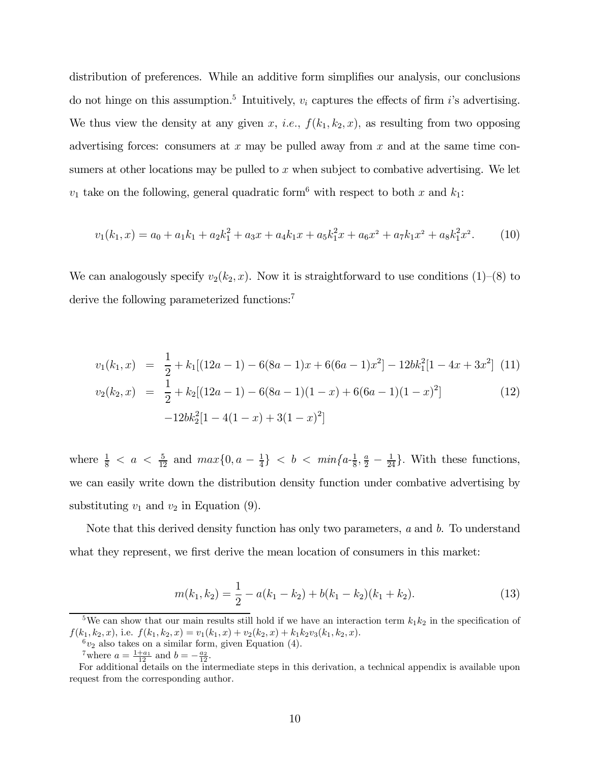distribution of preferences. While an additive form simplifies our analysis, our conclusions do not hinge on this assumption.<sup>5</sup> Intuitively,  $v_i$  captures the effects of firm i's advertising. We thus view the density at any given x, i.e.,  $f(k_1, k_2, x)$ , as resulting from two opposing advertising forces: consumers at  $x$  may be pulled away from  $x$  and at the same time consumers at other locations may be pulled to  $x$  when subject to combative advertising. We let  $v_1$  take on the following, general quadratic form<sup>6</sup> with respect to both x and  $k_1$ :

$$
v_1(k_1, x) = a_0 + a_1k_1 + a_2k_1^2 + a_3x + a_4k_1x + a_5k_1^2x + a_6x^2 + a_7k_1x^2 + a_8k_1^2x^2.
$$
 (10)

We can analogously specify  $v_2(k_2, x)$ . Now it is straightforward to use conditions (1)–(8) to derive the following parameterized functions:<sup>7</sup>

$$
v_1(k_1, x) = \frac{1}{2} + k_1[(12a - 1) - 6(8a - 1)x + 6(6a - 1)x^2] - 12bk_1^2[1 - 4x + 3x^2]
$$
(11)  

$$
v_2(k_2, x) = \frac{1}{2} + k_2[(12a - 1) - 6(8a - 1)(1 - x) + 6(6a - 1)(1 - x)^2]
$$
(12)

$$
-12bk_2^2[1-4(1-x)+3(1-x)^2]
$$

where  $\frac{1}{8} < a < \frac{5}{12}$  and  $max\{0, a - \frac{1}{4}\} < b < min\{a - \frac{1}{8}, \frac{a}{2} - \frac{1}{24}\}$ . With these functions, we can easily write down the distribution density function under combative advertising by substituting  $v_1$  and  $v_2$  in Equation (9).

Note that this derived density function has only two parameters,  $a$  and  $b$ . To understand what they represent, we first derive the mean location of consumers in this market:

$$
m(k_1, k_2) = \frac{1}{2} - a(k_1 - k_2) + b(k_1 - k_2)(k_1 + k_2).
$$
 (13)

<sup>&</sup>lt;sup>5</sup>We can show that our main results still hold if we have an interaction term  $k_1k_2$  in the specification of  $f(k_1, k_2, x)$ , i.e.  $f(k_1, k_2, x) = v_1(k_1, x) + v_2(k_2, x) + k_1k_2v_3(k_1, k_2, x)$ .<br>
<sup>6</sup> $v_2$  also takes on a similar form, given Equation (4).

<sup>&</sup>lt;sup>7</sup>where  $a = \frac{1+a_1}{12}$  and  $b = -\frac{a_2}{12}$ .

For additional details on the intermediate steps in this derivation, a technical appendix is available upon request from the corresponding author.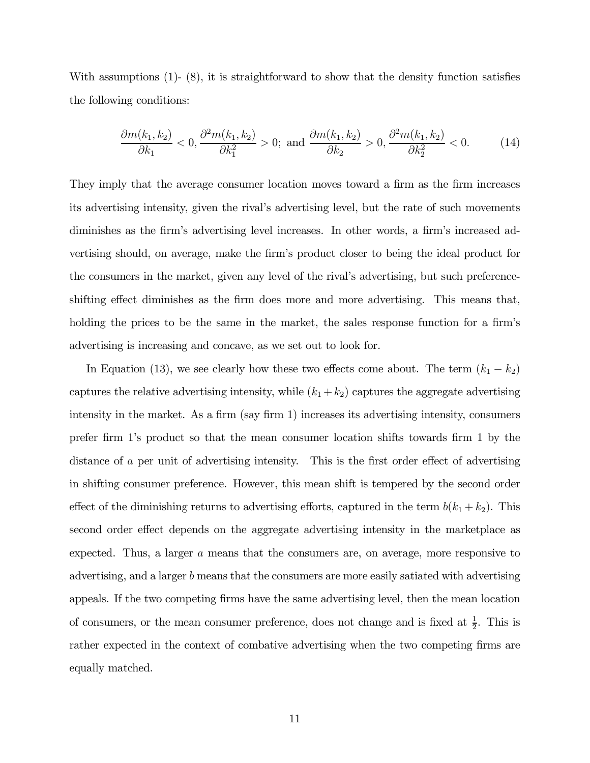With assumptions (1)- (8), it is straightforward to show that the density function satisfies the following conditions:

$$
\frac{\partial m(k_1, k_2)}{\partial k_1} < 0, \frac{\partial^2 m(k_1, k_2)}{\partial k_1^2} > 0; \text{ and } \frac{\partial m(k_1, k_2)}{\partial k_2} > 0, \frac{\partial^2 m(k_1, k_2)}{\partial k_2^2} < 0. \tag{14}
$$

They imply that the average consumer location moves toward a firm as the firm increases its advertising intensity, given the rival's advertising level, but the rate of such movements diminishes as the firm's advertising level increases. In other words, a firm's increased advertising should, on average, make the firm's product closer to being the ideal product for the consumers in the market, given any level of the rival's advertising, but such preferenceshifting effect diminishes as the firm does more and more advertising. This means that, holding the prices to be the same in the market, the sales response function for a firm's advertising is increasing and concave, as we set out to look for.

In Equation (13), we see clearly how these two effects come about. The term  $(k_1 - k_2)$ captures the relative advertising intensity, while  $(k_1 + k_2)$  captures the aggregate advertising intensity in the market. As a firm (say firm 1) increases its advertising intensity, consumers prefer firm 1's product so that the mean consumer location shifts towards firm 1 by the distance of a per unit of advertising intensity. This is the first order effect of advertising in shifting consumer preference. However, this mean shift is tempered by the second order effect of the diminishing returns to advertising efforts, captured in the term  $b(k_1 + k_2)$ . This second order effect depends on the aggregate advertising intensity in the marketplace as expected. Thus, a larger a means that the consumers are, on average, more responsive to advertising, and a larger b means that the consumers are more easily satiated with advertising appeals. If the two competing firms have the same advertising level, then the mean location of consumers, or the mean consumer preference, does not change and is fixed at  $\frac{1}{2}$ . This is rather expected in the context of combative advertising when the two competing firms are equally matched.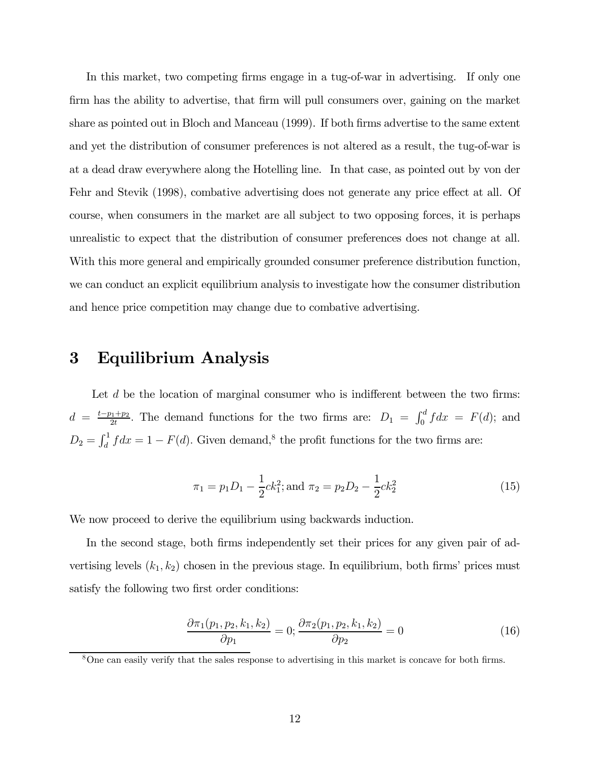In this market, two competing firms engage in a tug-of-war in advertising. If only one firm has the ability to advertise, that firm will pull consumers over, gaining on the market share as pointed out in Bloch and Manceau (1999). If both firms advertise to the same extent and yet the distribution of consumer preferences is not altered as a result, the tug-of-war is at a dead draw everywhere along the Hotelling line. In that case, as pointed out by von der Fehr and Stevik (1998), combative advertising does not generate any price effect at all. Of course, when consumers in the market are all subject to two opposing forces, it is perhaps unrealistic to expect that the distribution of consumer preferences does not change at all. With this more general and empirically grounded consumer preference distribution function, we can conduct an explicit equilibrium analysis to investigate how the consumer distribution and hence price competition may change due to combative advertising.

### 3 Equilibrium Analysis

Let d be the location of marginal consumer who is indifferent between the two firms:  $d = \frac{t-p_1+p_2}{2t}$ . The demand functions for the two firms are:  $D_1 = \int_0^d f dx = F(d)$ ; and  $D_2 = \int_d^1 f dx = 1 - F(d)$ . Given demand,<sup>8</sup> the profit functions for the two firms are:

$$
\pi_1 = p_1 D_1 - \frac{1}{2} c k_1^2; \text{ and } \pi_2 = p_2 D_2 - \frac{1}{2} c k_2^2 \tag{15}
$$

We now proceed to derive the equilibrium using backwards induction.

In the second stage, both firms independently set their prices for any given pair of advertising levels  $(k_1, k_2)$  chosen in the previous stage. In equilibrium, both firms' prices must satisfy the following two first order conditions:

$$
\frac{\partial \pi_1(p_1, p_2, k_1, k_2)}{\partial p_1} = 0; \frac{\partial \pi_2(p_1, p_2, k_1, k_2)}{\partial p_2} = 0 \tag{16}
$$

<sup>8</sup>One can easily verify that the sales response to advertising in this market is concave for both firms.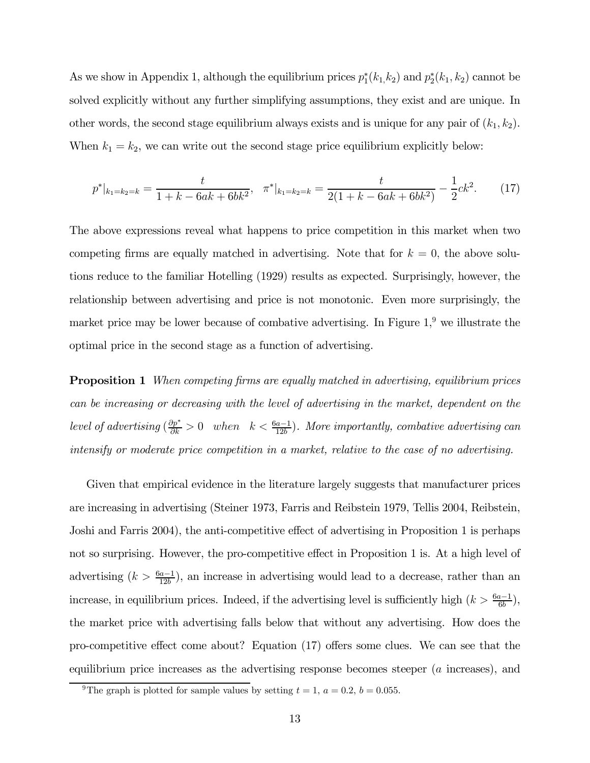As we show in Appendix 1, although the equilibrium prices  $p_1^*(k_1, k_2)$  and  $p_2^*(k_1, k_2)$  cannot be solved explicitly without any further simplifying assumptions, they exist and are unique. In other words, the second stage equilibrium always exists and is unique for any pair of  $(k_1, k_2)$ . When  $k_1 = k_2$ , we can write out the second stage price equilibrium explicitly below:

$$
p^*|_{k_1=k_2=k} = \frac{t}{1+k-6ak+6bk^2}, \quad \pi^*|_{k_1=k_2=k} = \frac{t}{2(1+k-6ak+6bk^2)} - \frac{1}{2}ck^2.
$$
 (17)

The above expressions reveal what happens to price competition in this market when two competing firms are equally matched in advertising. Note that for  $k = 0$ , the above solutions reduce to the familiar Hotelling (1929) results as expected. Surprisingly, however, the relationship between advertising and price is not monotonic. Even more surprisingly, the market price may be lower because of combative advertising. In Figure  $1<sup>9</sup>$  we illustrate the optimal price in the second stage as a function of advertising.

**Proposition 1** When competing firms are equally matched in advertising, equilibrium prices can be increasing or decreasing with the level of advertising in the market, dependent on the level of advertising  $\left(\frac{\partial p^*}{\partial k} > 0 \right)$  when  $k < \frac{6a-1}{12b}$ . More importantly, combative advertising can intensify or moderate price competition in a market, relative to the case of no advertising.

Given that empirical evidence in the literature largely suggests that manufacturer prices are increasing in advertising (Steiner 1973, Farris and Reibstein 1979, Tellis 2004, Reibstein, Joshi and Farris 2004), the anti-competitive effect of advertising in Proposition 1 is perhaps not so surprising. However, the pro-competitive effect in Proposition 1 is. At a high level of advertising  $(k > \frac{6a-1}{12b})$ , an increase in advertising would lead to a decrease, rather than an increase, in equilibrium prices. Indeed, if the advertising level is sufficiently high  $(k > \frac{6a-1}{6b})$ , the market price with advertising falls below that without any advertising. How does the pro-competitive effect come about? Equation (17) offers some clues. We can see that the equilibrium price increases as the advertising response becomes steeper (a increases), and

<sup>&</sup>lt;sup>9</sup>The graph is plotted for sample values by setting  $t = 1, a = 0.2, b = 0.055$ .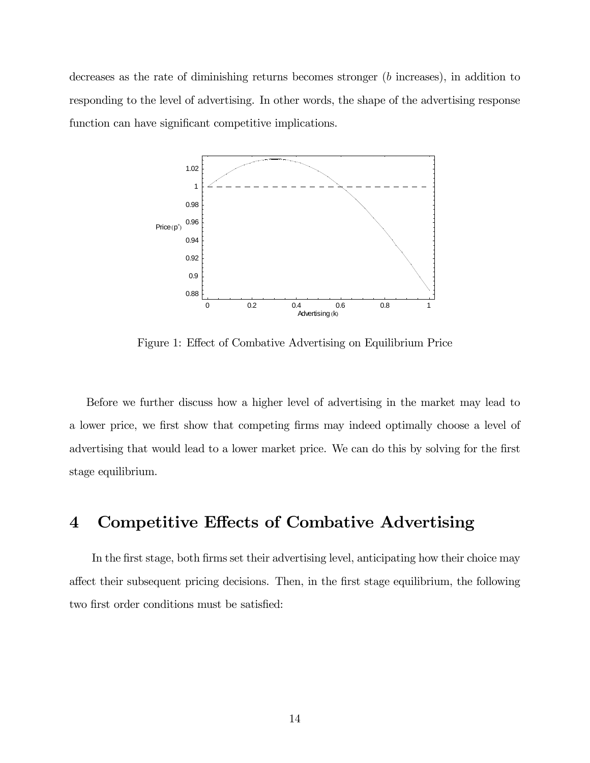decreases as the rate of diminishing returns becomes stronger (b increases), in addition to responding to the level of advertising. In other words, the shape of the advertising response function can have significant competitive implications.



Figure 1: Effect of Combative Advertising on Equilibrium Price

Before we further discuss how a higher level of advertising in the market may lead to a lower price, we first show that competing firms may indeed optimally choose a level of advertising that would lead to a lower market price. We can do this by solving for the first stage equilibrium.

### 4 Competitive Effects of Combative Advertising

In the first stage, both firms set their advertising level, anticipating how their choice may affect their subsequent pricing decisions. Then, in the first stage equilibrium, the following two first order conditions must be satisfied: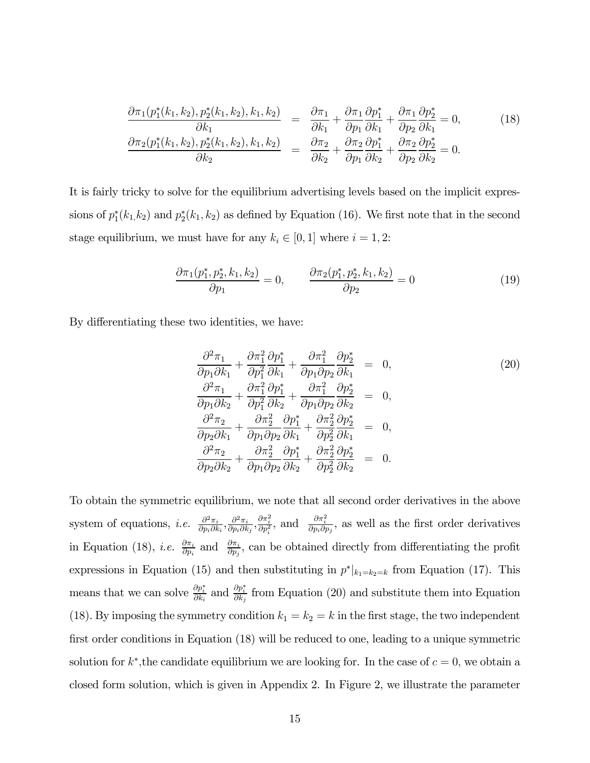$$
\frac{\partial \pi_1(p_1^*(k_1, k_2), p_2^*(k_1, k_2), k_1, k_2)}{\partial k_1} = \frac{\partial \pi_1}{\partial k_1} + \frac{\partial \pi_1}{\partial p_1} \frac{\partial p_1^*}{\partial k_1} + \frac{\partial \pi_1}{\partial p_2} \frac{\partial p_2^*}{\partial k_1} = 0, \qquad (18)
$$
\n
$$
\frac{\partial \pi_2(p_1^*(k_1, k_2), p_2^*(k_1, k_2), k_1, k_2)}{\partial k_2} = \frac{\partial \pi_2}{\partial k_2} + \frac{\partial \pi_2}{\partial p_1} \frac{\partial p_1^*}{\partial k_2} + \frac{\partial \pi_2}{\partial p_2} \frac{\partial p_2^*}{\partial k_2} = 0.
$$

It is fairly tricky to solve for the equilibrium advertising levels based on the implicit expressions of  $p_1^*(k_1, k_2)$  and  $p_2^*(k_1, k_2)$  as defined by Equation (16). We first note that in the second stage equilibrium, we must have for any  $k_i \in [0,1]$  where  $i = 1,2$ :

$$
\frac{\partial \pi_1(p_1^*, p_2^*, k_1, k_2)}{\partial p_1} = 0, \qquad \frac{\partial \pi_2(p_1^*, p_2^*, k_1, k_2)}{\partial p_2} = 0 \tag{19}
$$

By differentiating these two identities, we have:

$$
\frac{\partial^2 \pi_1}{\partial p_1 \partial k_1} + \frac{\partial \pi_1^2}{\partial p_1^2} \frac{\partial p_1^*}{\partial k_1} + \frac{\partial \pi_1^2}{\partial p_1 \partial p_2} \frac{\partial p_2^*}{\partial k_1} = 0, \n\frac{\partial^2 \pi_1}{\partial p_1 \partial k_2} + \frac{\partial \pi_1^2}{\partial p_1^2} \frac{\partial p_1^*}{\partial k_2} + \frac{\partial \pi_1^2}{\partial p_1 \partial p_2} \frac{\partial p_2^*}{\partial k_2} = 0, \n\frac{\partial^2 \pi_2}{\partial p_2 \partial k_1} + \frac{\partial \pi_2^2}{\partial p_1 \partial p_2} \frac{\partial p_1^*}{\partial k_1} + \frac{\partial \pi_2^2}{\partial p_2^2} \frac{\partial p_2^*}{\partial k_1} = 0, \n\frac{\partial^2 \pi_2}{\partial p_2 \partial k_2} + \frac{\partial \pi_2^2}{\partial p_1 \partial p_2} \frac{\partial p_1^*}{\partial k_2} + \frac{\partial \pi_2^2}{\partial p_2^2} \frac{\partial p_2^*}{\partial k_2} = 0.
$$
\n(20)

To obtain the symmetric equilibrium, we note that all second order derivatives in the above system of equations, *i.e.*  $\frac{\partial^2 \pi_i}{\partial p_i \partial k_i}, \frac{\partial^2 \pi_i}{\partial p_i \partial k_j}, \frac{\partial \pi_i^2}{\partial p_i^2}$ , and  $\frac{\partial \pi_i^2}{\partial p_i \partial p_j}$ , as well as the first order derivatives in Equation (18), *i.e.*  $\frac{\partial \pi_i}{\partial p_i}$  and  $\frac{\partial \pi_i}{\partial p_j}$ , can be obtained directly from differentiating the profit expressions in Equation (15) and then substituting in  $p^*|_{k_1=k_2=k}$  from Equation (17). This means that we can solve  $\frac{\partial p_i^*}{\partial k_i}$  and  $\frac{\partial p_i^*}{\partial k_j}$  from Equation (20) and substitute them into Equation (18). By imposing the symmetry condition  $k_1 = k_2 = k$  in the first stage, the two independent first order conditions in Equation (18) will be reduced to one, leading to a unique symmetric solution for  $k^*$ , the candidate equilibrium we are looking for. In the case of  $c = 0$ , we obtain a closed form solution, which is given in Appendix 2. In Figure 2, we illustrate the parameter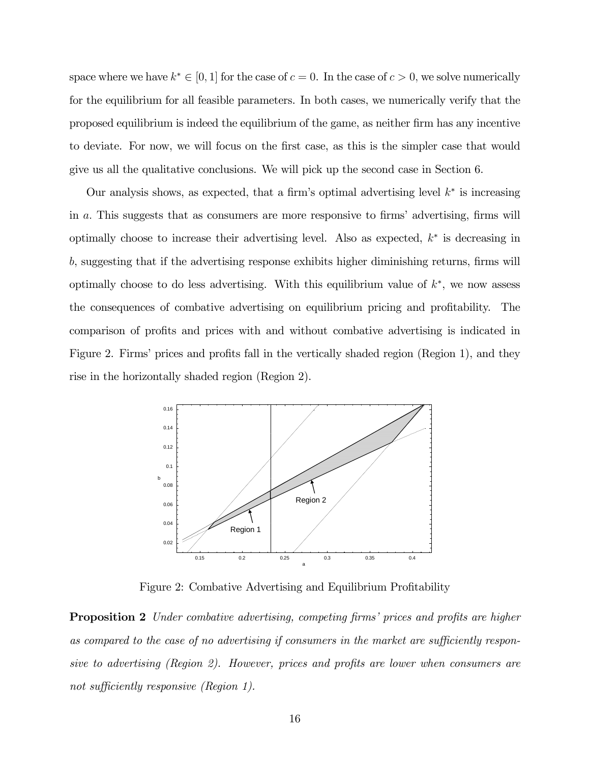space where we have  $k^* \in [0, 1]$  for the case of  $c = 0$ . In the case of  $c > 0$ , we solve numerically for the equilibrium for all feasible parameters. In both cases, we numerically verify that the proposed equilibrium is indeed the equilibrium of the game, as neither firm has any incentive to deviate. For now, we will focus on the first case, as this is the simpler case that would give us all the qualitative conclusions. We will pick up the second case in Section 6.

Our analysis shows, as expected, that a firm's optimal advertising level  $k^*$  is increasing in a. This suggests that as consumers are more responsive to firms' advertising, firms will optimally choose to increase their advertising level. Also as expected, k<sup>∗</sup> is decreasing in b, suggesting that if the advertising response exhibits higher diminishing returns, firms will optimally choose to do less advertising. With this equilibrium value of  $k^*$ , we now assess the consequences of combative advertising on equilibrium pricing and profitability. The comparison of profits and prices with and without combative advertising is indicated in Figure 2. Firms' prices and profits fall in the vertically shaded region (Region 1), and they rise in the horizontally shaded region (Region 2).



Figure 2: Combative Advertising and Equilibrium Profitability

**Proposition 2** Under combative advertising, competing firms' prices and profits are higher as compared to the case of no advertising if consumers in the market are sufficiently responsive to advertising (Region 2). However, prices and profits are lower when consumers are not sufficiently responsive (Region 1).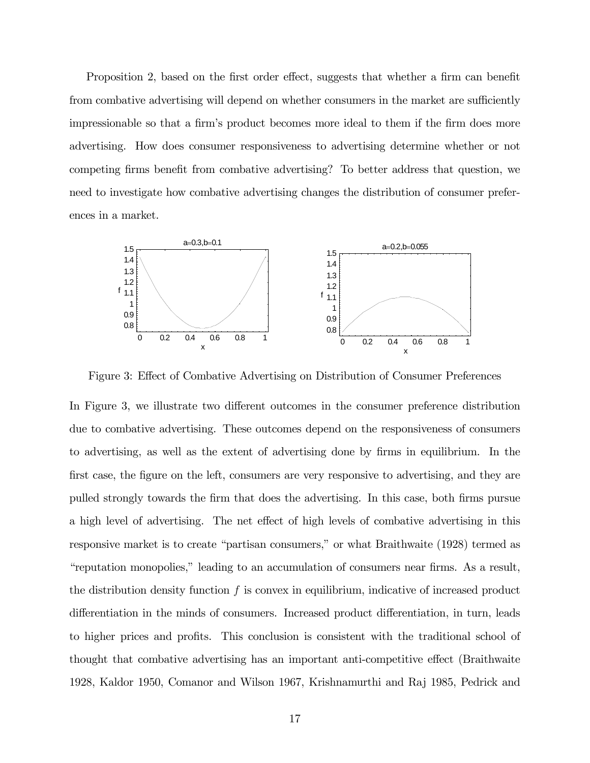Proposition 2, based on the first order effect, suggests that whether a firm can benefit from combative advertising will depend on whether consumers in the market are sufficiently impressionable so that a firm's product becomes more ideal to them if the firm does more advertising. How does consumer responsiveness to advertising determine whether or not competing firms benefit from combative advertising? To better address that question, we need to investigate how combative advertising changes the distribution of consumer preferences in a market.



Figure 3: Effect of Combative Advertising on Distribution of Consumer Preferences

In Figure 3, we illustrate two different outcomes in the consumer preference distribution due to combative advertising. These outcomes depend on the responsiveness of consumers to advertising, as well as the extent of advertising done by firms in equilibrium. In the first case, the figure on the left, consumers are very responsive to advertising, and they are pulled strongly towards the firm that does the advertising. In this case, both firms pursue a high level of advertising. The net effect of high levels of combative advertising in this responsive market is to create "partisan consumers," or what Braithwaite (1928) termed as "reputation monopolies," leading to an accumulation of consumers near firms. As a result, the distribution density function  $f$  is convex in equilibrium, indicative of increased product differentiation in the minds of consumers. Increased product differentiation, in turn, leads to higher prices and profits. This conclusion is consistent with the traditional school of thought that combative advertising has an important anti-competitive effect (Braithwaite 1928, Kaldor 1950, Comanor and Wilson 1967, Krishnamurthi and Raj 1985, Pedrick and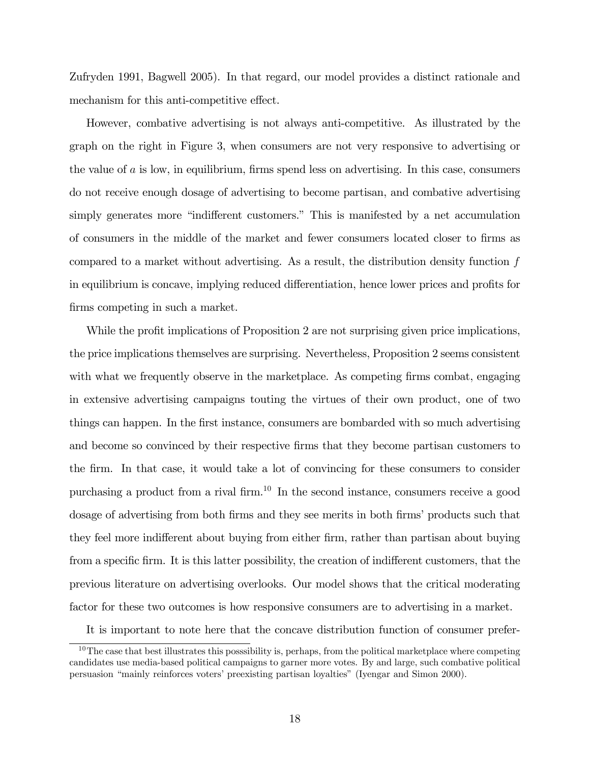Zufryden 1991, Bagwell 2005). In that regard, our model provides a distinct rationale and mechanism for this anti-competitive effect.

However, combative advertising is not always anti-competitive. As illustrated by the graph on the right in Figure 3, when consumers are not very responsive to advertising or the value of  $a$  is low, in equilibrium, firms spend less on advertising. In this case, consumers do not receive enough dosage of advertising to become partisan, and combative advertising simply generates more "indifferent customers." This is manifested by a net accumulation of consumers in the middle of the market and fewer consumers located closer to firms as compared to a market without advertising. As a result, the distribution density function f in equilibrium is concave, implying reduced differentiation, hence lower prices and profits for firms competing in such a market.

While the profit implications of Proposition 2 are not surprising given price implications, the price implications themselves are surprising. Nevertheless, Proposition 2 seems consistent with what we frequently observe in the marketplace. As competing firms combat, engaging in extensive advertising campaigns touting the virtues of their own product, one of two things can happen. In the first instance, consumers are bombarded with so much advertising and become so convinced by their respective firms that they become partisan customers to the firm. In that case, it would take a lot of convincing for these consumers to consider purchasing a product from a rival firm.10 In the second instance, consumers receive a good dosage of advertising from both firms and they see merits in both firms' products such that they feel more indifferent about buying from either firm, rather than partisan about buying from a specific firm. It is this latter possibility, the creation of indifferent customers, that the previous literature on advertising overlooks. Our model shows that the critical moderating factor for these two outcomes is how responsive consumers are to advertising in a market.

It is important to note here that the concave distribution function of consumer prefer-

<sup>&</sup>lt;sup>10</sup>The case that best illustrates this posssibility is, perhaps, from the political marketplace where competing candidates use media-based political campaigns to garner more votes. By and large, such combative political persuasion "mainly reinforces voters' preexisting partisan loyalties" (Iyengar and Simon 2000).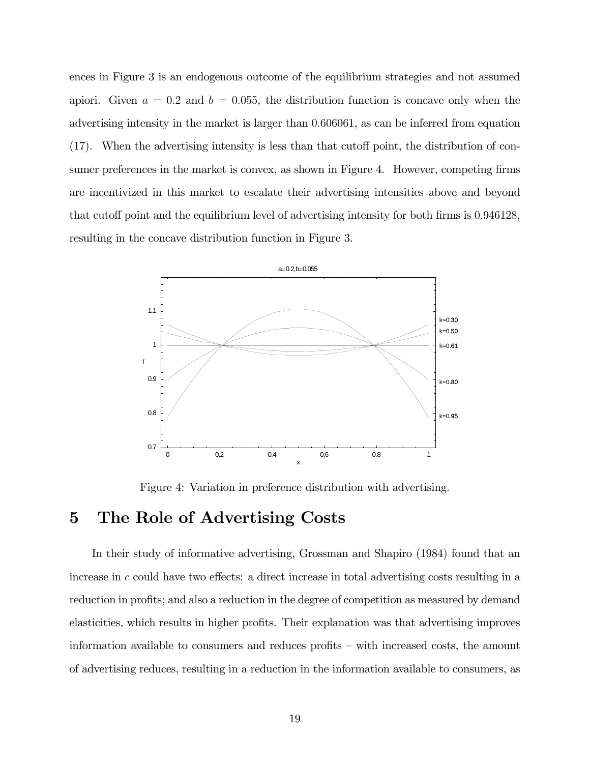ences in Figure 3 is an endogenous outcome of the equilibrium strategies and not assumed apiori. Given  $a = 0.2$  and  $b = 0.055$ , the distribution function is concave only when the advertising intensity in the market is larger than 0.606061, as can be inferred from equation (17). When the advertising intensity is less than that cutoff point, the distribution of consumer preferences in the market is convex, as shown in Figure 4. However, competing firms are incentivized in this market to escalate their advertising intensities above and beyond that cutoff point and the equilibrium level of advertising intensity for both firms is 0.946128, resulting in the concave distribution function in Figure 3.



Figure 4: Variation in preference distribution with advertising.

### 5 The Role of Advertising Costs

In their study of informative advertising, Grossman and Shapiro (1984) found that an increase in c could have two effects: a direct increase in total advertising costs resulting in a reduction in profits; and also a reduction in the degree of competition as measured by demand elasticities, which results in higher profits. Their explanation was that advertising improves information available to consumers and reduces profits — with increased costs, the amount of advertising reduces, resulting in a reduction in the information available to consumers, as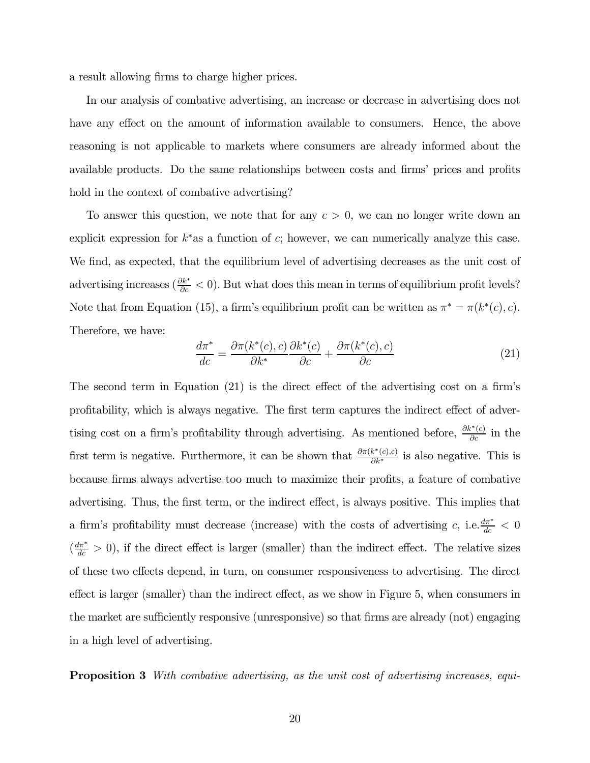a result allowing firms to charge higher prices.

In our analysis of combative advertising, an increase or decrease in advertising does not have any effect on the amount of information available to consumers. Hence, the above reasoning is not applicable to markets where consumers are already informed about the available products. Do the same relationships between costs and firms' prices and profits hold in the context of combative advertising?

To answer this question, we note that for any  $c > 0$ , we can no longer write down an explicit expression for  $k^*$  as a function of c; however, we can numerically analyze this case. We find, as expected, that the equilibrium level of advertising decreases as the unit cost of advertising increases ( $\frac{\partial k^*}{\partial c} < 0$ ). But what does this mean in terms of equilibrium profit levels? Note that from Equation (15), a firm's equilibrium profit can be written as  $\pi^* = \pi(k^*(c), c)$ . Therefore, we have:

$$
\frac{d\pi^*}{dc} = \frac{\partial \pi(k^*(c), c)}{\partial k^*} \frac{\partial k^*(c)}{\partial c} + \frac{\partial \pi(k^*(c), c)}{\partial c} \tag{21}
$$

The second term in Equation (21) is the direct effect of the advertising cost on a firm's profitability, which is always negative. The first term captures the indirect effect of advertising cost on a firm's profitability through advertising. As mentioned before,  $\frac{\partial k^*(c)}{\partial c}$  in the first term is negative. Furthermore, it can be shown that  $\frac{\partial \pi(k^*(c), c)}{\partial k^*}$  is also negative. This is because firms always advertise too much to maximize their profits, a feature of combative advertising. Thus, the first term, or the indirect effect, is always positive. This implies that a firm's profitability must decrease (increase) with the costs of advertising c, i.e.  $\frac{d\pi^*}{dc} < 0$  $\left(\frac{d\pi^*}{dc} > 0\right)$ , if the direct effect is larger (smaller) than the indirect effect. The relative sizes of these two effects depend, in turn, on consumer responsiveness to advertising. The direct effect is larger (smaller) than the indirect effect, as we show in Figure 5, when consumers in the market are sufficiently responsive (unresponsive) so that firms are already (not) engaging in a high level of advertising.

**Proposition 3** With combative advertising, as the unit cost of advertising increases, equi-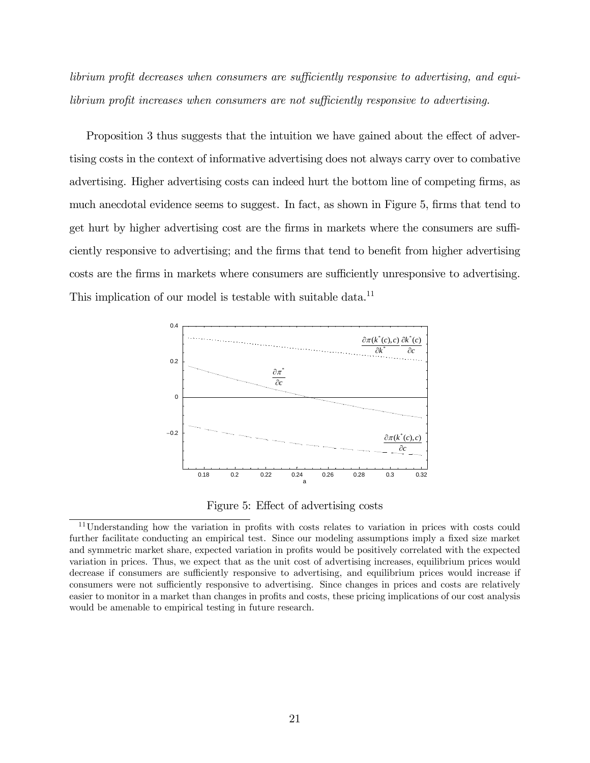librium profit decreases when consumers are sufficiently responsive to advertising, and equilibrium profit increases when consumers are not sufficiently responsive to advertising.

Proposition 3 thus suggests that the intuition we have gained about the effect of advertising costs in the context of informative advertising does not always carry over to combative advertising. Higher advertising costs can indeed hurt the bottom line of competing firms, as much anecdotal evidence seems to suggest. In fact, as shown in Figure 5, firms that tend to get hurt by higher advertising cost are the firms in markets where the consumers are sufficiently responsive to advertising; and the firms that tend to benefit from higher advertising costs are the firms in markets where consumers are sufficiently unresponsive to advertising. This implication of our model is testable with suitable data.<sup>11</sup>



Figure 5: Effect of advertising costs

<sup>11</sup>Understanding how the variation in profits with costs relates to variation in prices with costs could further facilitate conducting an empirical test. Since our modeling assumptions imply a fixed size market and symmetric market share, expected variation in profits would be positively correlated with the expected variation in prices. Thus, we expect that as the unit cost of advertising increases, equilibrium prices would decrease if consumers are sufficiently responsive to advertising, and equilibrium prices would increase if consumers were not sufficiently responsive to advertising. Since changes in prices and costs are relatively easier to monitor in a market than changes in profits and costs, these pricing implications of our cost analysis would be amenable to empirical testing in future research.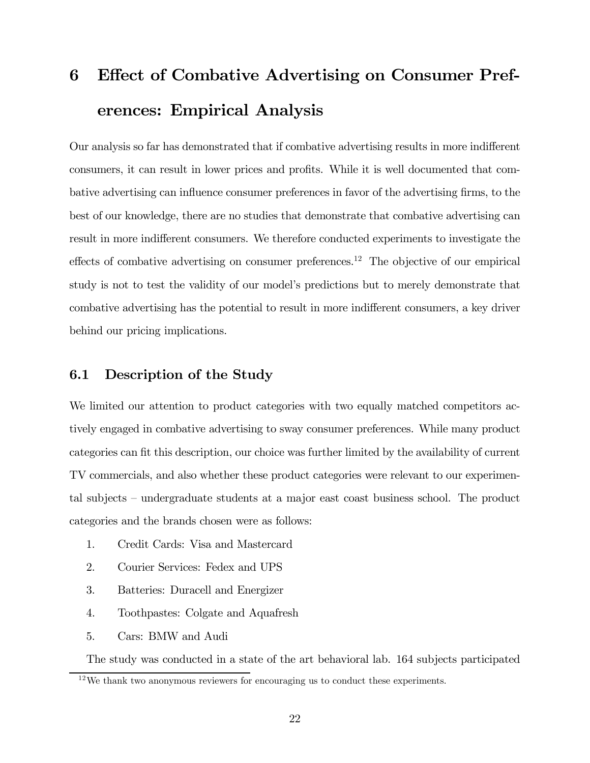# 6 Effect of Combative Advertising on Consumer Preferences: Empirical Analysis

Our analysis so far has demonstrated that if combative advertising results in more indifferent consumers, it can result in lower prices and profits. While it is well documented that combative advertising can influence consumer preferences in favor of the advertising firms, to the best of our knowledge, there are no studies that demonstrate that combative advertising can result in more indifferent consumers. We therefore conducted experiments to investigate the effects of combative advertising on consumer preferences.<sup>12</sup> The objective of our empirical study is not to test the validity of our model's predictions but to merely demonstrate that combative advertising has the potential to result in more indifferent consumers, a key driver behind our pricing implications.

#### 6.1 Description of the Study

We limited our attention to product categories with two equally matched competitors actively engaged in combative advertising to sway consumer preferences. While many product categories can fit this description, our choice was further limited by the availability of current TV commercials, and also whether these product categories were relevant to our experimental subjects — undergraduate students at a major east coast business school. The product categories and the brands chosen were as follows:

- 1. Credit Cards: Visa and Mastercard
- 2. Courier Services: Fedex and UPS
- 3. Batteries: Duracell and Energizer
- 4. Toothpastes: Colgate and Aquafresh
- 5. Cars: BMW and Audi

The study was conducted in a state of the art behavioral lab. 164 subjects participated

 $12$ We thank two anonymous reviewers for encouraging us to conduct these experiments.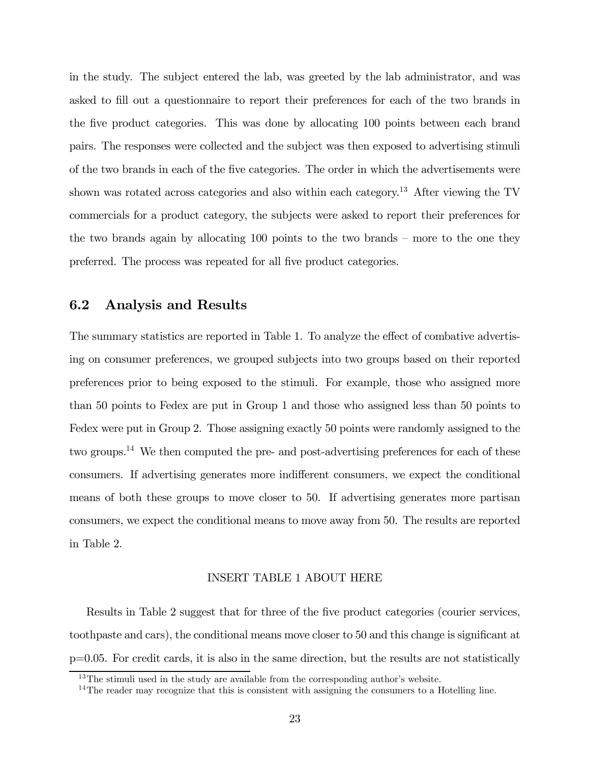in the study. The subject entered the lab, was greeted by the lab administrator, and was asked to fill out a questionnaire to report their preferences for each of the two brands in the five product categories. This was done by allocating 100 points between each brand pairs. The responses were collected and the subject was then exposed to advertising stimuli of the two brands in each of the five categories. The order in which the advertisements were shown was rotated across categories and also within each category.<sup>13</sup> After viewing the TV commercials for a product category, the subjects were asked to report their preferences for the two brands again by allocating 100 points to the two brands — more to the one they preferred. The process was repeated for all five product categories.

#### 6.2 Analysis and Results

The summary statistics are reported in Table 1. To analyze the effect of combative advertising on consumer preferences, we grouped subjects into two groups based on their reported preferences prior to being exposed to the stimuli. For example, those who assigned more than 50 points to Fedex are put in Group 1 and those who assigned less than 50 points to Fedex were put in Group 2. Those assigning exactly 50 points were randomly assigned to the two groups.14 We then computed the pre- and post-advertising preferences for each of these consumers. If advertising generates more indifferent consumers, we expect the conditional means of both these groups to move closer to 50. If advertising generates more partisan consumers, we expect the conditional means to move away from 50. The results are reported in Table 2.

#### INSERT TABLE 1 ABOUT HERE

Results in Table 2 suggest that for three of the five product categories (courier services, toothpaste and cars), the conditional means move closer to 50 and this change is significant at p=0.05. For credit cards, it is also in the same direction, but the results are not statistically

<sup>&</sup>lt;sup>13</sup>The stimuli used in the study are available from the corresponding author's website.

<sup>&</sup>lt;sup>14</sup>The reader may recognize that this is consistent with assigning the consumers to a Hotelling line.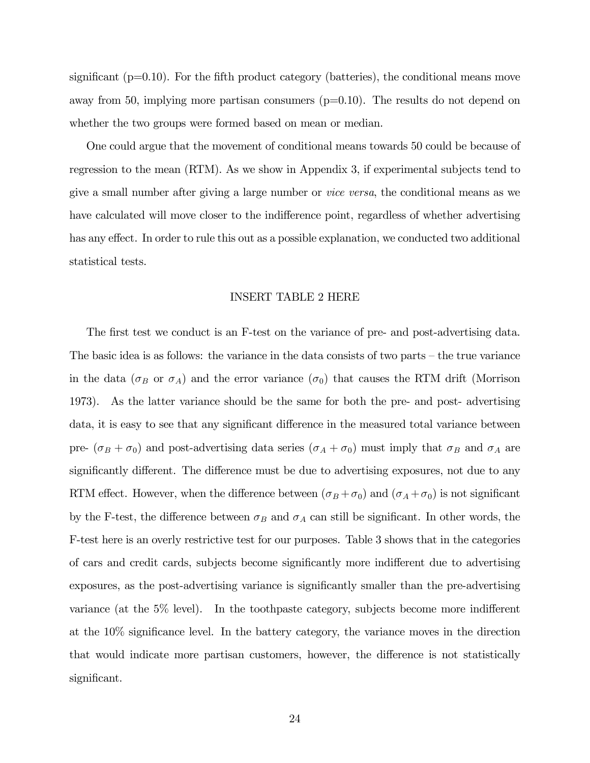significant  $(p=0.10)$ . For the fifth product category (batteries), the conditional means move away from 50, implying more partisan consumers  $(p=0.10)$ . The results do not depend on whether the two groups were formed based on mean or median.

One could argue that the movement of conditional means towards 50 could be because of regression to the mean (RTM). As we show in Appendix 3, if experimental subjects tend to give a small number after giving a large number or vice versa, the conditional means as we have calculated will move closer to the indifference point, regardless of whether advertising has any effect. In order to rule this out as a possible explanation, we conducted two additional statistical tests.

#### INSERT TABLE 2 HERE

The first test we conduct is an F-test on the variance of pre- and post-advertising data. The basic idea is as follows: the variance in the data consists of two parts — the true variance in the data ( $\sigma_B$  or  $\sigma_A$ ) and the error variance ( $\sigma_0$ ) that causes the RTM drift (Morrison 1973). As the latter variance should be the same for both the pre- and post- advertising data, it is easy to see that any significant difference in the measured total variance between pre-  $(\sigma_B + \sigma_0)$  and post-advertising data series  $(\sigma_A + \sigma_0)$  must imply that  $\sigma_B$  and  $\sigma_A$  are significantly different. The difference must be due to advertising exposures, not due to any RTM effect. However, when the difference between  $(\sigma_B + \sigma_0)$  and  $(\sigma_A + \sigma_0)$  is not significant by the F-test, the difference between  $\sigma_B$  and  $\sigma_A$  can still be significant. In other words, the F-test here is an overly restrictive test for our purposes. Table 3 shows that in the categories of cars and credit cards, subjects become significantly more indifferent due to advertising exposures, as the post-advertising variance is significantly smaller than the pre-advertising variance (at the 5% level). In the toothpaste category, subjects become more indifferent at the 10% significance level. In the battery category, the variance moves in the direction that would indicate more partisan customers, however, the difference is not statistically significant.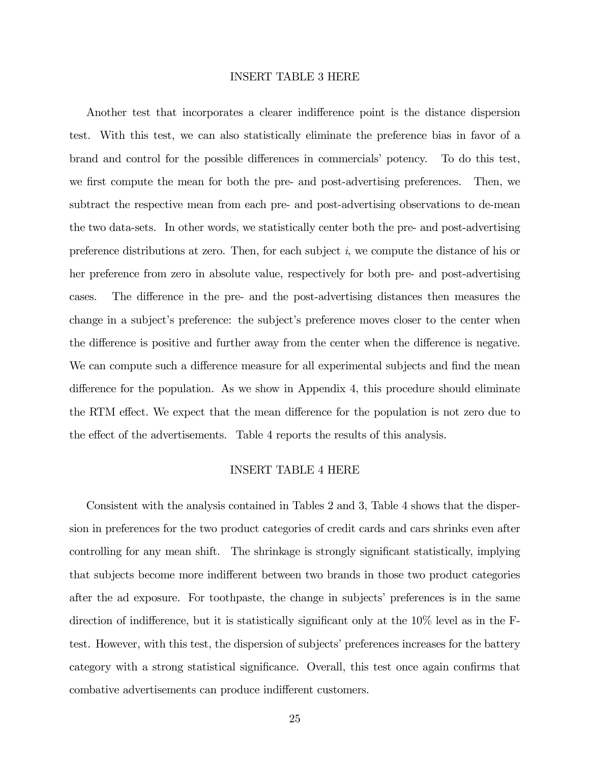#### INSERT TABLE 3 HERE

Another test that incorporates a clearer indifference point is the distance dispersion test. With this test, we can also statistically eliminate the preference bias in favor of a brand and control for the possible differences in commercials' potency. To do this test, we first compute the mean for both the pre- and post-advertising preferences. Then, we subtract the respective mean from each pre- and post-advertising observations to de-mean the two data-sets. In other words, we statistically center both the pre- and post-advertising preference distributions at zero. Then, for each subject  $i$ , we compute the distance of his or her preference from zero in absolute value, respectively for both pre- and post-advertising cases. The difference in the pre- and the post-advertising distances then measures the change in a subject's preference: the subject's preference moves closer to the center when the difference is positive and further away from the center when the difference is negative. We can compute such a difference measure for all experimental subjects and find the mean difference for the population. As we show in Appendix 4, this procedure should eliminate the RTM effect. We expect that the mean difference for the population is not zero due to the effect of the advertisements. Table 4 reports the results of this analysis.

#### INSERT TABLE 4 HERE

Consistent with the analysis contained in Tables 2 and 3, Table 4 shows that the dispersion in preferences for the two product categories of credit cards and cars shrinks even after controlling for any mean shift. The shrinkage is strongly significant statistically, implying that subjects become more indifferent between two brands in those two product categories after the ad exposure. For toothpaste, the change in subjects' preferences is in the same direction of indifference, but it is statistically significant only at the 10% level as in the Ftest. However, with this test, the dispersion of subjects' preferences increases for the battery category with a strong statistical significance. Overall, this test once again confirms that combative advertisements can produce indifferent customers.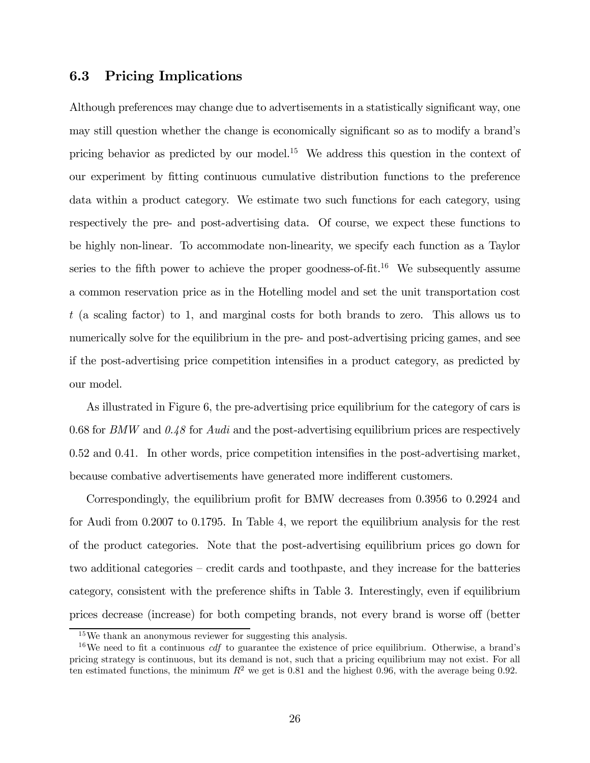#### 6.3 Pricing Implications

Although preferences may change due to advertisements in a statistically significant way, one may still question whether the change is economically significant so as to modify a brand's pricing behavior as predicted by our model.<sup>15</sup> We address this question in the context of our experiment by fitting continuous cumulative distribution functions to the preference data within a product category. We estimate two such functions for each category, using respectively the pre- and post-advertising data. Of course, we expect these functions to be highly non-linear. To accommodate non-linearity, we specify each function as a Taylor series to the fifth power to achieve the proper goodness-of-fit.<sup>16</sup> We subsequently assume a common reservation price as in the Hotelling model and set the unit transportation cost t (a scaling factor) to 1, and marginal costs for both brands to zero. This allows us to numerically solve for the equilibrium in the pre- and post-advertising pricing games, and see if the post-advertising price competition intensifies in a product category, as predicted by our model.

As illustrated in Figure 6, the pre-advertising price equilibrium for the category of cars is 0.68 for BMW and  $0.48$  for Audi and the post-advertising equilibrium prices are respectively 0.52 and 0.41. In other words, price competition intensifies in the post-advertising market, because combative advertisements have generated more indifferent customers.

Correspondingly, the equilibrium profit for BMW decreases from 0.3956 to 0.2924 and for Audi from 0.2007 to 0.1795. In Table 4, we report the equilibrium analysis for the rest of the product categories. Note that the post-advertising equilibrium prices go down for two additional categories — credit cards and toothpaste, and they increase for the batteries category, consistent with the preference shifts in Table 3. Interestingly, even if equilibrium prices decrease (increase) for both competing brands, not every brand is worse off (better

<sup>15</sup>We thank an anonymous reviewer for suggesting this analysis.

 $16$ We need to fit a continuous *cdf* to guarantee the existence of price equilibrium. Otherwise, a brand's pricing strategy is continuous, but its demand is not, such that a pricing equilibrium may not exist. For all ten estimated functions, the minimum  $R^2$  we get is 0.81 and the highest 0.96, with the average being 0.92.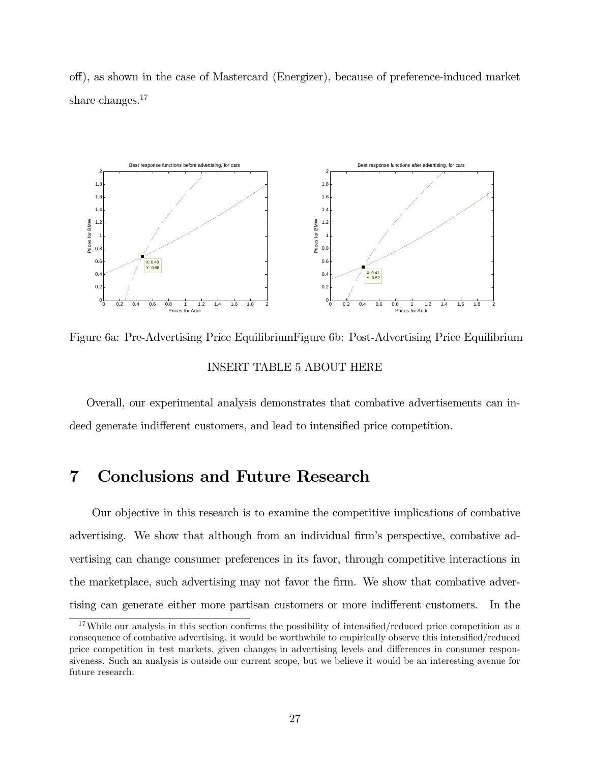off), as shown in the case of Mastercard (Energizer), because of preference-induced market share changes.<sup>17</sup>



Figure 6a: Pre-Advertising Price Equilibrium Figure 6b: Post-Advertising Price Equilibrium INSERT TABLE 5 ABOUT HERE

Overall, our experimental analysis demonstrates that combative advertisements can indeed generate indifferent customers, and lead to intensified price competition.

### 7 Conclusions and Future Research

Our objective in this research is to examine the competitive implications of combative advertising. We show that although from an individual firm's perspective, combative advertising can change consumer preferences in its favor, through competitive interactions in the marketplace, such advertising may not favor the firm. We show that combative advertising can generate either more partisan customers or more indifferent customers. In the

 $17$ While our analysis in this section confirms the possibility of intensified/reduced price competition as a consequence of combative advertising, it would be worthwhile to empirically observe this intensified/reduced price competition in test markets, given changes in advertising levels and differences in consumer responsiveness. Such an analysis is outside our current scope, but we believe it would be an interesting avenue for future research.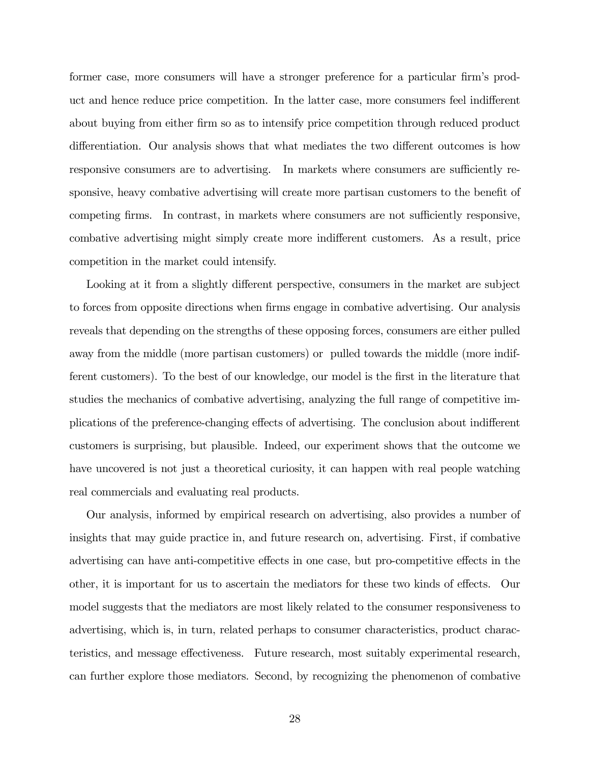former case, more consumers will have a stronger preference for a particular firm's product and hence reduce price competition. In the latter case, more consumers feel indifferent about buying from either firm so as to intensify price competition through reduced product differentiation. Our analysis shows that what mediates the two different outcomes is how responsive consumers are to advertising. In markets where consumers are sufficiently responsive, heavy combative advertising will create more partisan customers to the benefit of competing firms. In contrast, in markets where consumers are not sufficiently responsive, combative advertising might simply create more indifferent customers. As a result, price competition in the market could intensify.

Looking at it from a slightly different perspective, consumers in the market are subject to forces from opposite directions when firms engage in combative advertising. Our analysis reveals that depending on the strengths of these opposing forces, consumers are either pulled away from the middle (more partisan customers) or pulled towards the middle (more indifferent customers). To the best of our knowledge, our model is the first in the literature that studies the mechanics of combative advertising, analyzing the full range of competitive implications of the preference-changing effects of advertising. The conclusion about indifferent customers is surprising, but plausible. Indeed, our experiment shows that the outcome we have uncovered is not just a theoretical curiosity, it can happen with real people watching real commercials and evaluating real products.

Our analysis, informed by empirical research on advertising, also provides a number of insights that may guide practice in, and future research on, advertising. First, if combative advertising can have anti-competitive effects in one case, but pro-competitive effects in the other, it is important for us to ascertain the mediators for these two kinds of effects. Our model suggests that the mediators are most likely related to the consumer responsiveness to advertising, which is, in turn, related perhaps to consumer characteristics, product characteristics, and message effectiveness. Future research, most suitably experimental research, can further explore those mediators. Second, by recognizing the phenomenon of combative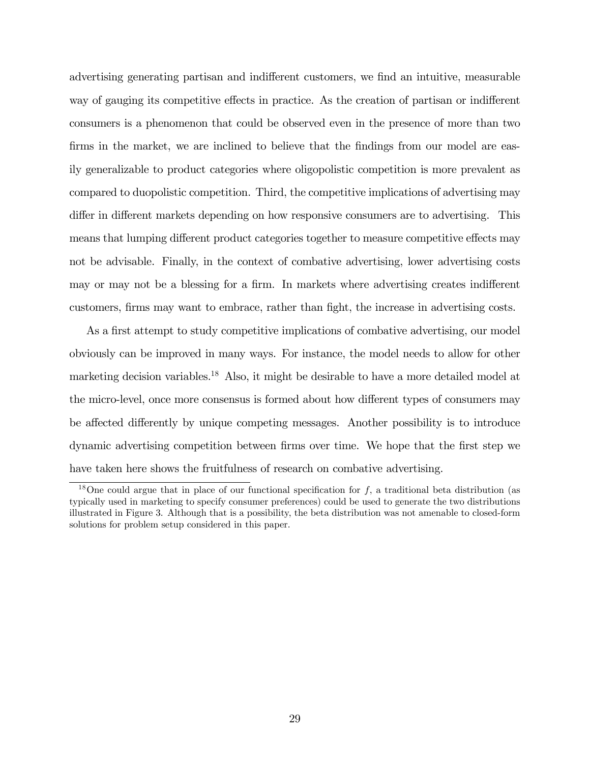advertising generating partisan and indifferent customers, we find an intuitive, measurable way of gauging its competitive effects in practice. As the creation of partisan or indifferent consumers is a phenomenon that could be observed even in the presence of more than two firms in the market, we are inclined to believe that the findings from our model are easily generalizable to product categories where oligopolistic competition is more prevalent as compared to duopolistic competition. Third, the competitive implications of advertising may differ in different markets depending on how responsive consumers are to advertising. This means that lumping different product categories together to measure competitive effects may not be advisable. Finally, in the context of combative advertising, lower advertising costs may or may not be a blessing for a firm. In markets where advertising creates indifferent customers, firms may want to embrace, rather than fight, the increase in advertising costs.

As a first attempt to study competitive implications of combative advertising, our model obviously can be improved in many ways. For instance, the model needs to allow for other marketing decision variables.<sup>18</sup> Also, it might be desirable to have a more detailed model at the micro-level, once more consensus is formed about how different types of consumers may be affected differently by unique competing messages. Another possibility is to introduce dynamic advertising competition between firms over time. We hope that the first step we have taken here shows the fruitfulness of research on combative advertising.

<sup>&</sup>lt;sup>18</sup>One could argue that in place of our functional specification for  $f$ , a traditional beta distribution (as typically used in marketing to specify consumer preferences) could be used to generate the two distributions illustrated in Figure 3. Although that is a possibility, the beta distribution was not amenable to closed-form solutions for problem setup considered in this paper.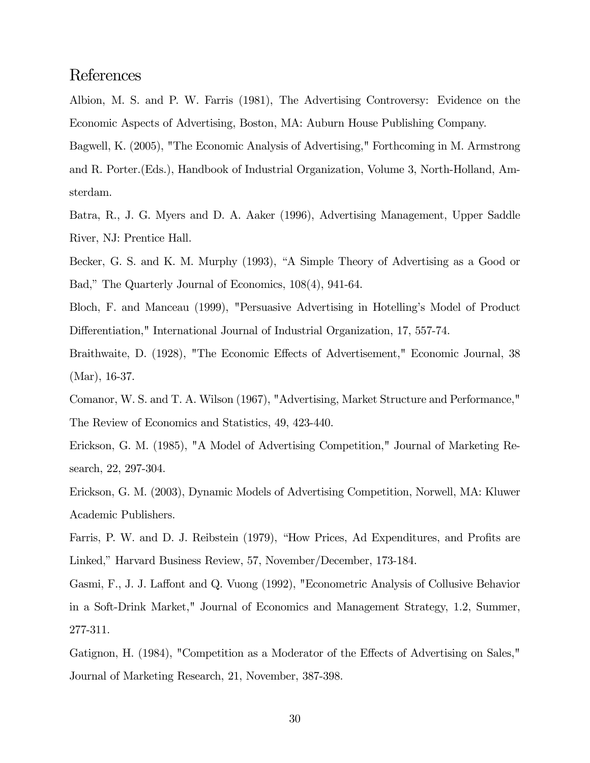### References

Albion, M. S. and P. W. Farris (1981), The Advertising Controversy: Evidence on the Economic Aspects of Advertising, Boston, MA: Auburn House Publishing Company.

Bagwell, K. (2005), "The Economic Analysis of Advertising," Forthcoming in M. Armstrong and R. Porter.(Eds.), Handbook of Industrial Organization, Volume 3, North-Holland, Amsterdam.

Batra, R., J. G. Myers and D. A. Aaker (1996), Advertising Management, Upper Saddle River, NJ: Prentice Hall.

Becker, G. S. and K. M. Murphy (1993), "A Simple Theory of Advertising as a Good or Bad," The Quarterly Journal of Economics, 108(4), 941-64.

Bloch, F. and Manceau (1999), "Persuasive Advertising in Hotelling's Model of Product Differentiation," International Journal of Industrial Organization, 17, 557-74.

Braithwaite, D. (1928), "The Economic Effects of Advertisement," Economic Journal, 38 (Mar), 16-37.

Comanor, W. S. and T. A. Wilson (1967), "Advertising, Market Structure and Performance," The Review of Economics and Statistics, 49, 423-440.

Erickson, G. M. (1985), "A Model of Advertising Competition," Journal of Marketing Research, 22, 297-304.

Erickson, G. M. (2003), Dynamic Models of Advertising Competition, Norwell, MA: Kluwer Academic Publishers.

Farris, P. W. and D. J. Reibstein (1979), "How Prices, Ad Expenditures, and Profits are Linked," Harvard Business Review, 57, November/December, 173-184.

Gasmi, F., J. J. Laffont and Q. Vuong (1992), "Econometric Analysis of Collusive Behavior in a Soft-Drink Market," Journal of Economics and Management Strategy, 1.2, Summer, 277-311.

Gatignon, H. (1984), "Competition as a Moderator of the Effects of Advertising on Sales," Journal of Marketing Research, 21, November, 387-398.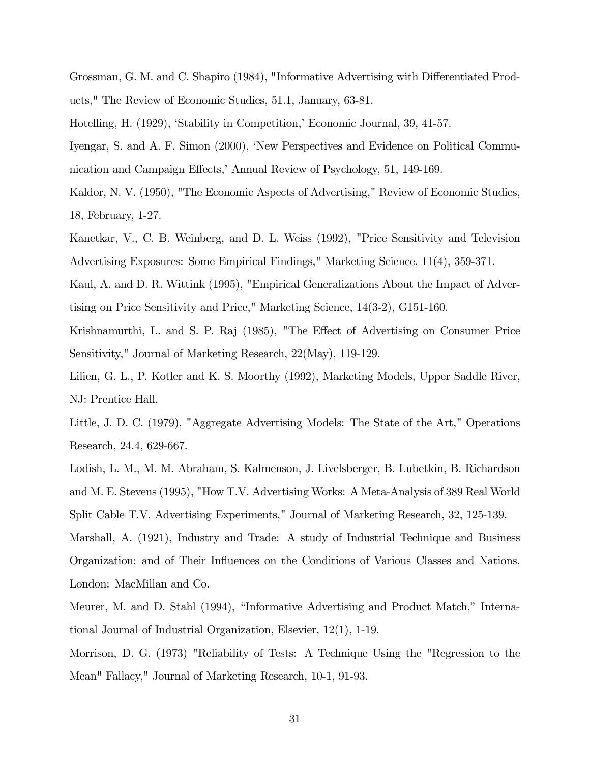Grossman, G. M. and C. Shapiro (1984), "Informative Advertising with Differentiated Products," The Review of Economic Studies, 51.1, January, 63-81.

Hotelling, H. (1929), 'Stability in Competition,' Economic Journal, 39, 41-57.

Iyengar, S. and A. F. Simon (2000), 'New Perspectives and Evidence on Political Communication and Campaign Effects,' Annual Review of Psychology, 51, 149-169.

Kaldor, N. V. (1950), "The Economic Aspects of Advertising," Review of Economic Studies, 18, February, 1-27.

Kanetkar, V., C. B. Weinberg, and D. L. Weiss (1992), "Price Sensitivity and Television Advertising Exposures: Some Empirical Findings," Marketing Science, 11(4), 359-371.

Kaul, A. and D. R. Wittink (1995), "Empirical Generalizations About the Impact of Advertising on Price Sensitivity and Price," Marketing Science, 14(3-2), G151-160.

Krishnamurthi, L. and S. P. Raj (1985), "The Effect of Advertising on Consumer Price Sensitivity," Journal of Marketing Research, 22(May), 119-129.

Lilien, G. L., P. Kotler and K. S. Moorthy (1992), Marketing Models, Upper Saddle River, NJ: Prentice Hall.

Little, J. D. C. (1979), "Aggregate Advertising Models: The State of the Art," Operations Research, 24.4, 629-667.

Lodish, L. M., M. M. Abraham, S. Kalmenson, J. Livelsberger, B. Lubetkin, B. Richardson and M. E. Stevens (1995), "How T.V. Advertising Works: A Meta-Analysis of 389 Real World Split Cable T.V. Advertising Experiments," Journal of Marketing Research, 32, 125-139.

Marshall, A. (1921), Industry and Trade: A study of Industrial Technique and Business Organization; and of Their Influences on the Conditions of Various Classes and Nations, London: MacMillan and Co.

Meurer, M. and D. Stahl (1994), "Informative Advertising and Product Match," International Journal of Industrial Organization, Elsevier, 12(1), 1-19.

Morrison, D. G. (1973) "Reliability of Tests: A Technique Using the "Regression to the Mean" Fallacy," Journal of Marketing Research, 10-1, 91-93.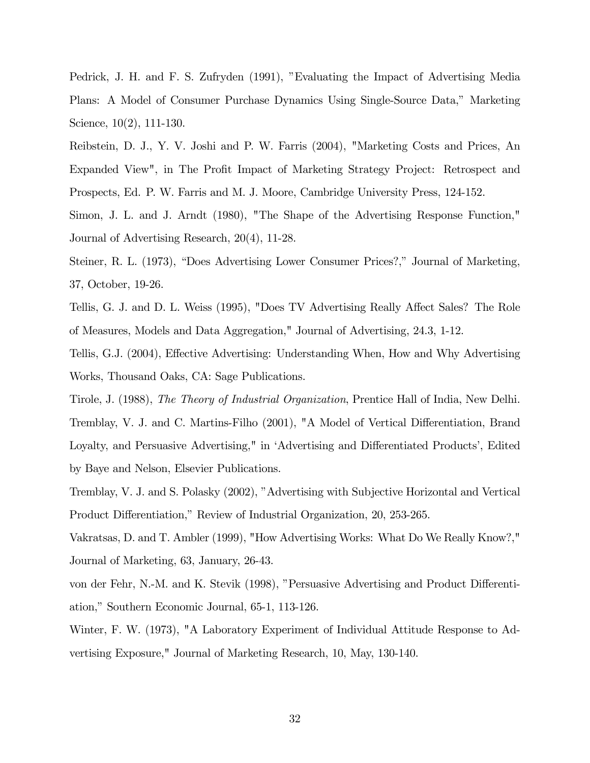Pedrick, J. H. and F. S. Zufryden (1991), "Evaluating the Impact of Advertising Media Plans: A Model of Consumer Purchase Dynamics Using Single-Source Data," Marketing Science, 10(2), 111-130.

Reibstein, D. J., Y. V. Joshi and P. W. Farris (2004), "Marketing Costs and Prices, An Expanded View", in The Profit Impact of Marketing Strategy Project: Retrospect and Prospects, Ed. P. W. Farris and M. J. Moore, Cambridge University Press, 124-152.

Simon, J. L. and J. Arndt (1980), "The Shape of the Advertising Response Function," Journal of Advertising Research, 20(4), 11-28.

Steiner, R. L. (1973), "Does Advertising Lower Consumer Prices?," Journal of Marketing, 37, October, 19-26.

Tellis, G. J. and D. L. Weiss (1995), "Does TV Advertising Really Affect Sales? The Role of Measures, Models and Data Aggregation," Journal of Advertising, 24.3, 1-12.

Tellis, G.J. (2004), Effective Advertising: Understanding When, How and Why Advertising Works, Thousand Oaks, CA: Sage Publications.

Tirole, J. (1988), The Theory of Industrial Organization, Prentice Hall of India, New Delhi. Tremblay, V. J. and C. Martins-Filho (2001), "A Model of Vertical Differentiation, Brand Loyalty, and Persuasive Advertising," in 'Advertising and Differentiated Products', Edited by Baye and Nelson, Elsevier Publications.

Tremblay, V. J. and S. Polasky (2002), "Advertising with Subjective Horizontal and Vertical Product Differentiation," Review of Industrial Organization, 20, 253-265.

Vakratsas, D. and T. Ambler (1999), "How Advertising Works: What Do We Really Know?," Journal of Marketing, 63, January, 26-43.

von der Fehr, N.-M. and K. Stevik (1998), "Persuasive Advertising and Product Differentiation," Southern Economic Journal, 65-1, 113-126.

Winter, F. W. (1973), "A Laboratory Experiment of Individual Attitude Response to Advertising Exposure," Journal of Marketing Research, 10, May, 130-140.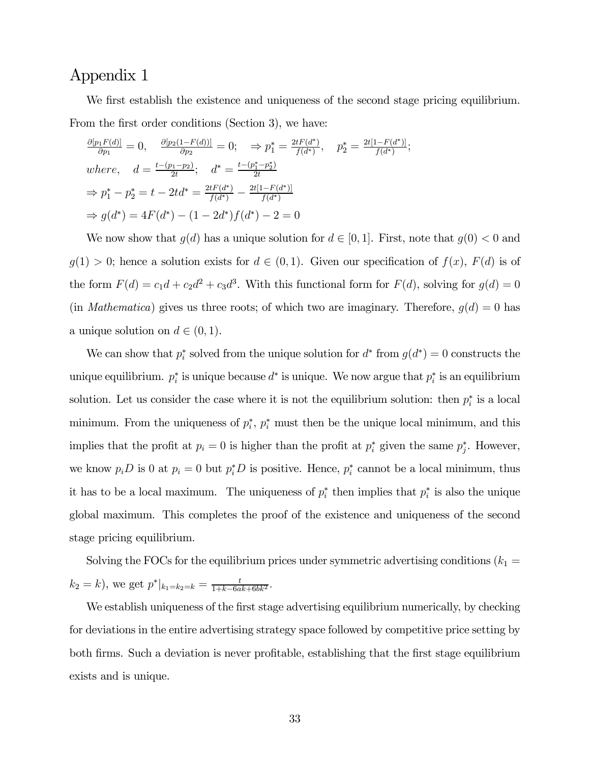We first establish the existence and uniqueness of the second stage pricing equilibrium. From the first order conditions (Section 3), we have:

$$
\frac{\partial [p_1 F(d)]}{\partial p_1} = 0, \quad \frac{\partial [p_2(1 - F(d))]}{\partial p_2} = 0; \quad \Rightarrow p_1^* = \frac{2tF(d^*)}{f(d^*)}, \quad p_2^* = \frac{2t[1 - F(d^*)]}{f(d^*)};
$$
  
where,  $d = \frac{t - (p_1 - p_2)}{2t}; \quad d^* = \frac{t - (p_1^* - p_2^*)}{2t}$   
 $\Rightarrow p_1^* - p_2^* = t - 2td^* = \frac{2tF(d^*)}{f(d^*)} - \frac{2t[1 - F(d^*)]}{f(d^*)}$   
 $\Rightarrow g(d^*) = 4F(d^*) - (1 - 2d^*)f(d^*) - 2 = 0$ 

We now show that  $g(d)$  has a unique solution for  $d \in [0,1]$ . First, note that  $g(0) < 0$  and  $g(1) > 0$ ; hence a solution exists for  $d \in (0,1)$ . Given our specification of  $f(x)$ ,  $F(d)$  is of the form  $F(d) = c_1d + c_2d^2 + c_3d^3$ . With this functional form for  $F(d)$ , solving for  $g(d) = 0$ (in *Mathematica*) gives us three roots; of which two are imaginary. Therefore,  $g(d)=0$  has a unique solution on  $d \in (0,1)$ .

We can show that  $p_i^*$  solved from the unique solution for  $d^*$  from  $g(d^*)=0$  constructs the unique equilibrium.  $p_i^*$  is unique because  $d^*$  is unique. We now argue that  $p_i^*$  is an equilibrium solution. Let us consider the case where it is not the equilibrium solution: then  $p_i^*$  is a local minimum. From the uniqueness of  $p_i^*, p_i^*$  must then be the unique local minimum, and this implies that the profit at  $p_i = 0$  is higher than the profit at  $p_i^*$  given the same  $p_j^*$ . However, we know  $p_i D$  is 0 at  $p_i = 0$  but  $p_i^* D$  is positive. Hence,  $p_i^*$  cannot be a local minimum, thus it has to be a local maximum. The uniqueness of  $p_i^*$  then implies that  $p_i^*$  is also the unique global maximum. This completes the proof of the existence and uniqueness of the second stage pricing equilibrium.

Solving the FOCs for the equilibrium prices under symmetric advertising conditions  $(k_1 =$  $k_2 = k$ , we get  $p^*|_{k_1 = k_2 = k} = \frac{t}{1 + k - 6ak + 6bk^2}$ .

We establish uniqueness of the first stage advertising equilibrium numerically, by checking for deviations in the entire advertising strategy space followed by competitive price setting by both firms. Such a deviation is never profitable, establishing that the first stage equilibrium exists and is unique.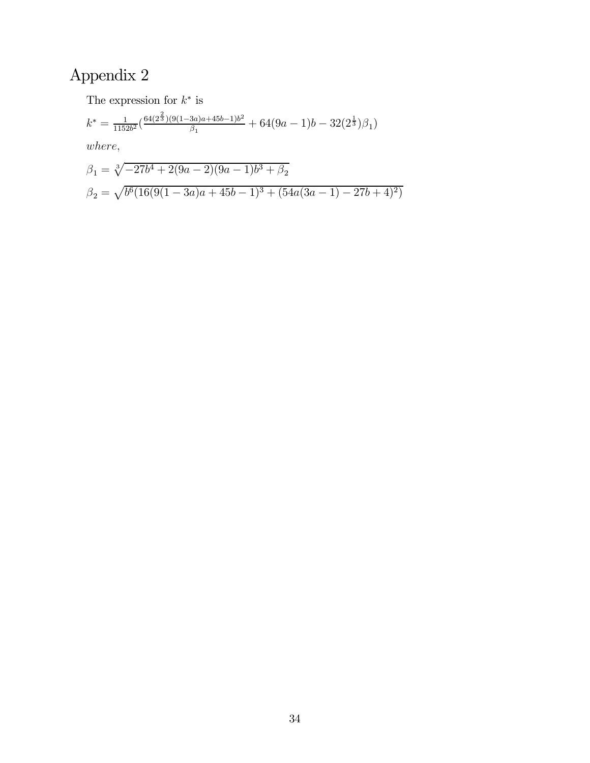The expression for  $k^{\ast}$  is

$$
k^* = \frac{1}{1152b^2} \left( \frac{64(2^{\frac{2}{3}})(9(1-3a)a+45b-1)b^2}{\beta_1} + 64(9a-1)b - 32(2^{\frac{1}{3}})\beta_1 \right)
$$

where,

$$
\beta_1 = \sqrt[3]{-27b^4 + 2(9a - 2)(9a - 1)b^3 + \beta_2}
$$
  

$$
\beta_2 = \sqrt{b^6(16(9(1 - 3a)a + 45b - 1)^3 + (54a(3a - 1) - 27b + 4)^2)}
$$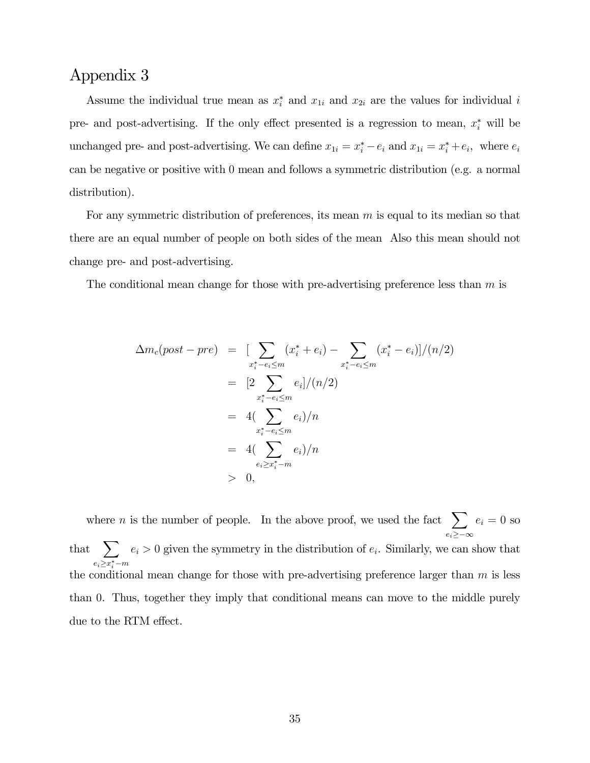Assume the individual true mean as  $x_i^*$  and  $x_{1i}$  and  $x_{2i}$  are the values for individual i pre- and post-advertising. If the only effect presented is a regression to mean,  $x_i^*$  will be unchanged pre- and post-advertising. We can define  $x_{1i} = x_i^* - e_i$  and  $x_{1i} = x_i^* + e_i$ , where  $e_i$ can be negative or positive with 0 mean and follows a symmetric distribution (e.g. a normal distribution).

For any symmetric distribution of preferences, its mean m is equal to its median so that there are an equal number of people on both sides of the mean Also this mean should not change pre- and post-advertising.

The conditional mean change for those with pre-advertising preference less than  $m$  is

$$
\Delta m_c(post - pre) = \left[ \sum_{x_i^* - e_i \le m} (x_i^* + e_i) - \sum_{x_i^* - e_i \le m} (x_i^* - e_i) \right] / (n/2)
$$
  
\n
$$
= \left[ 2 \sum_{x_i^* - e_i \le m} e_i \right] / (n/2)
$$
  
\n
$$
= 4 \left( \sum_{x_i^* - e_i \le m} e_i \right) / n
$$
  
\n
$$
= 4 \left( \sum_{e_i \ge x_i^* - m} e_i \right) / n
$$
  
\n
$$
= 0,
$$

where *n* is the number of people. In the above proof, we used the fact  $\sum$  $e_i$ ≥−∞  $e_i = 0$  so that  $\sum$  $e_i \geq x_i^* - m$  $e_i > 0$  given the symmetry in the distribution of  $e_i$ . Similarly, we can show that the conditional mean change for those with pre-advertising preference larger than  $m$  is less than 0. Thus, together they imply that conditional means can move to the middle purely due to the RTM effect.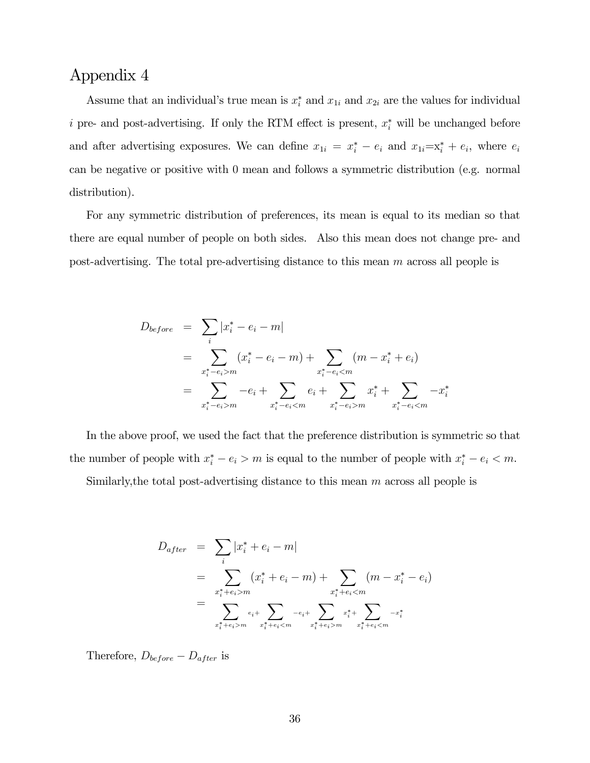Assume that an individual's true mean is  $x_i^*$  and  $x_{1i}$  and  $x_{2i}$  are the values for individual i pre- and post-advertising. If only the RTM effect is present,  $x_i^*$  will be unchanged before and after advertising exposures. We can define  $x_{1i} = x_i^* - e_i$  and  $x_{1i} = x_i^* + e_i$ , where  $e_i$ can be negative or positive with 0 mean and follows a symmetric distribution (e.g. normal distribution).

For any symmetric distribution of preferences, its mean is equal to its median so that there are equal number of people on both sides. Also this mean does not change pre- and post-advertising. The total pre-advertising distance to this mean m across all people is

$$
D_{before} = \sum_{i} |x_{i}^{*} - e_{i} - m|
$$
  
= 
$$
\sum_{x_{i}^{*} - e_{i} > m} (x_{i}^{*} - e_{i} - m) + \sum_{x_{i}^{*} - e_{i} < m} (m - x_{i}^{*} + e_{i})
$$
  
= 
$$
\sum_{x_{i}^{*} - e_{i} > m} -e_{i} + \sum_{x_{i}^{*} - e_{i} < m} e_{i} + \sum_{x_{i}^{*} - e_{i} > m} x_{i}^{*} + \sum_{x_{i}^{*} - e_{i} < m} -x_{i}^{*}
$$

In the above proof, we used the fact that the preference distribution is symmetric so that the number of people with  $x_i^* - e_i > m$  is equal to the number of people with  $x_i^* - e_i < m$ .

Similarly, the total post-advertising distance to this mean  $m$  across all people is

$$
D_{after} = \sum_{i} |x_{i}^{*} + e_{i} - m|
$$
  
= 
$$
\sum_{x_{i}^{*} + e_{i} > m} (x_{i}^{*} + e_{i} - m) + \sum_{x_{i}^{*} + e_{i} < m} (m - x_{i}^{*} - e_{i})
$$
  
= 
$$
\sum_{x_{i}^{*} + e_{i} > m} e_{i}^{*} + \sum_{x_{i}^{*} + e_{i} < m} e_{i}^{*} + \sum_{x_{i}^{*} + e_{i} > m} e_{i}^{*} + \sum_{x_{i}^{*} + e_{i} < m} e_{i}^{*}
$$

Therefore,  $D_{before} - D_{after}$  is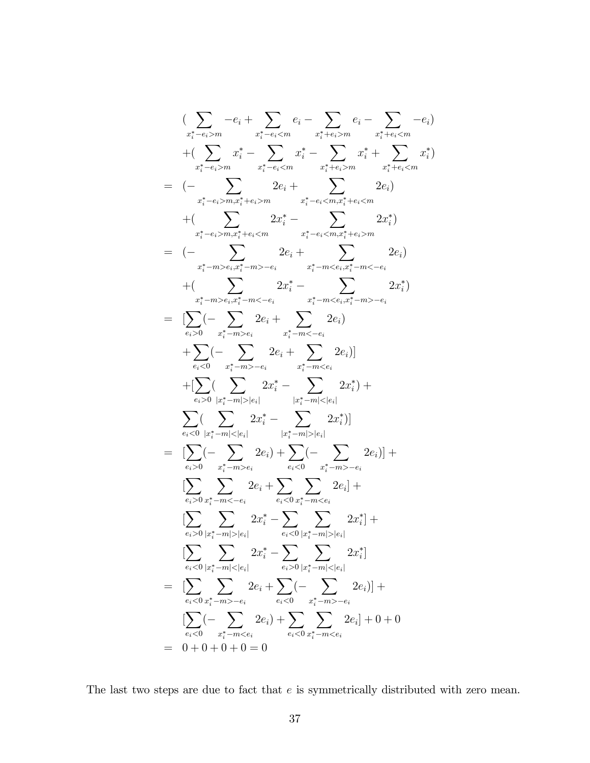$$
\begin{split}\n&\left(\sum_{x_i^* - e_i > m} -e_i + \sum_{x_i^* - e_i < m} e_i - \sum_{x_i^* + e_i > m} -e_i\right) \\
&+ \left(\sum_{x_i^* - e_i > m} x_i^* - \sum_{x_i^* - e_i < m} x_i^* - \sum_{x_i^* + e_i > m} x_i^* + \sum_{x_i^* + e_i < m} -e_i\right) \\
&= (-\sum_{x_i^* - e_i > m, x_i^* + e_i > m} 2e_i + \sum_{x_i^* - e_i < m, x_i^* + e_i < m} 2e_i) \\
&+ \left(\sum_{x_i^* - e_i > m, x_i^* + e_i < m} 2x_i^* - \sum_{x_i^* - e_i < m, x_i^* + e_i > m} 2x_i^*\right) \\
&= (-\sum_{x_i^* - m > e_i, x_i^* - m > -e_i} 2x_i^* - \sum_{x_i^* - m < e_i, x_i^* - m < -e_i} 2x_i^*) \\
&+ \left(\sum_{x_i^* - m > e_i, x_i^* - m > -e_i} 2x_i^* - \sum_{x_i^* - m < e_i, x_i^* - m > -e_i} 2x_i^*\right) \\
&+ \sum_{e_i > 0} (-\sum_{x_i^* - m > e_i} 2e_i + \sum_{x_i^* - m < e_i} 2e_i) \\
&+ \sum_{e_i > 0} (-\sum_{x_i^* - m > e_i} 2e_i + \sum_{x_i^* - m < e_i} 2e_i)] \\
&+ \left[\sum_{e_i > 0} (\sum_{|x_i^* - m| < |e_i|} 2x_i^* - \sum_{|x_i^* - m| < |e_i|} 2x_i^*\right) + \sum_{e_i < 0} (-\sum_{|x_i^* - m| < |e_i|} 2x_i^*\right] \\
&= \sum_{e_i > 0} (-\sum_{x_i^* - m < e_i} 2e_i) + \sum_{e_i < 0} (-\sum_{x_i^* - m > -e_i} 2e_i)] + \left[\sum_{e_i > 0} \sum_{x_i^* - m < e_i} 2x_i^* - \sum_{e_i < 0} x_i^* - \sum_{e_i < 0} 2x_i^*\right] \\
&= \sum_{e_i < 0} (-\sum_{x_i^* - m > -e_i} 2x_i^* - \
$$

The last two steps are due to fact that  $e$  is symmetrically distributed with zero mean.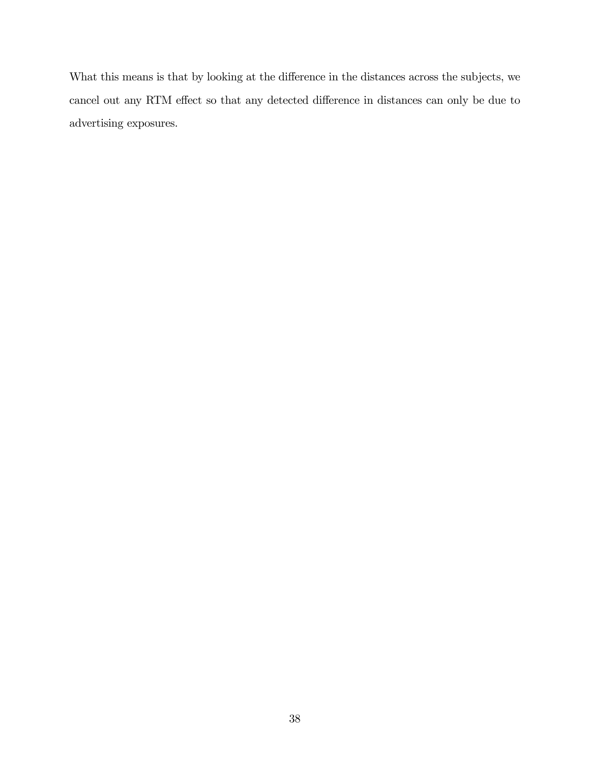What this means is that by looking at the difference in the distances across the subjects, we cancel out any RTM effect so that any detected difference in distances can only be due to advertising exposures.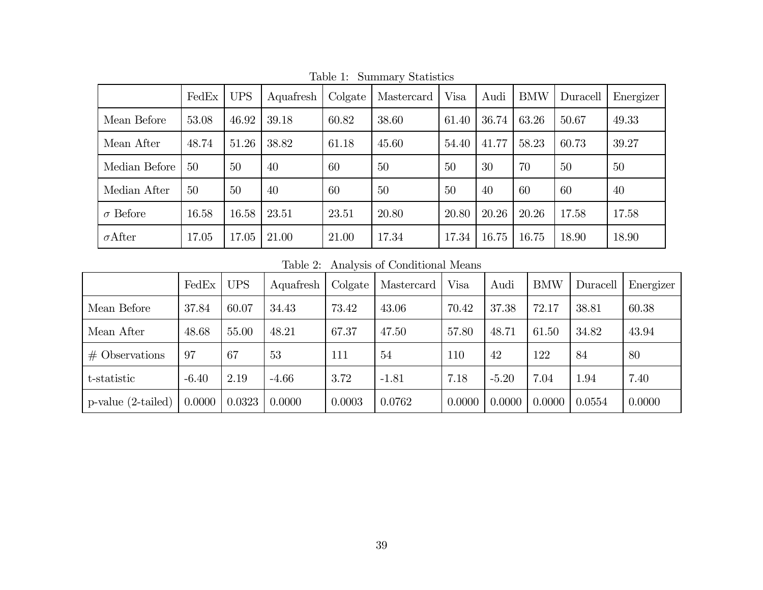|                 | FedEx | <b>UPS</b> | Aquafresh | Colgate | Mastercard | Visa  | Audi  | <b>BMW</b> | Duracell | Energizer |
|-----------------|-------|------------|-----------|---------|------------|-------|-------|------------|----------|-----------|
| Mean Before     | 53.08 | 46.92      | 39.18     | 60.82   | 38.60      | 61.40 | 36.74 | 63.26      | 50.67    | 49.33     |
| Mean After      | 48.74 | 51.26      | 38.82     | 61.18   | 45.60      | 54.40 | 41.77 | 58.23      | 60.73    | 39.27     |
| Median Before   | 50    | 50         | 40        | 60      | 50         | 50    | 30    | 70         | 50       | 50        |
| Median After    | 50    | 50         | 40        | 60      | 50         | 50    | 40    | 60         | 60       | 40        |
| $\sigma$ Before | 16.58 | 16.58      | 23.51     | 23.51   | 20.80      | 20.80 | 20.26 | 20.26      | 17.58    | 17.58     |
| $\sigma$ After  | 17.05 | 17.05      | 21.00     | 21.00   | 17.34      | 17.34 | 16.75 | 16.75      | 18.90    | 18.90     |

Table 1: Summary Statistics

Table 2: Analysis of Conditional Means

|                          | FedEx   | <b>UPS</b> | Aquafresh | Colgate | Mastercard | <b>Visa</b> | Audi    | <b>BMW</b> | Duracell | Energizer |
|--------------------------|---------|------------|-----------|---------|------------|-------------|---------|------------|----------|-----------|
| Mean Before              | 37.84   | 60.07      | 34.43     | 73.42   | 43.06      | 70.42       | 37.38   | 72.17      | 38.81    | 60.38     |
| Mean After               | 48.68   | 55.00      | 48.21     | 67.37   | 47.50      | 57.80       | 48.71   | 61.50      | 34.82    | 43.94     |
| $#$ Observations         | 97      | 67         | 53        | 111     | 54         | 110         | 42      | 122        | 84       | 80        |
| t-statistic              | $-6.40$ | 2.19       | $-4.66$   | 3.72    | $-1.81$    | 7.18        | $-5.20$ | 7.04       | 1.94     | 7.40      |
| $p$ -value $(2$ -tailed) | 0.0000  | 0.0323     | 0.0000    | 0.0003  | 0.0762     | 0.0000      | 0.0000  | 0.0000     | 0.0554   | 0.0000    |